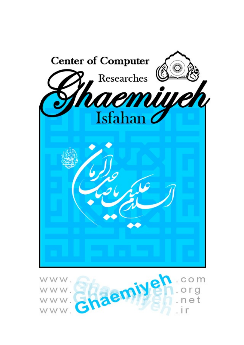

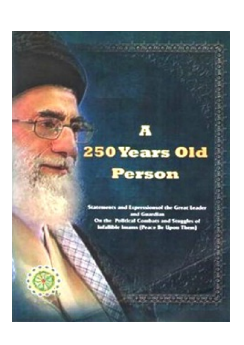# **250 Years Old** Person

A

a ta er islam the Great an a 45 Procedure 12 78 E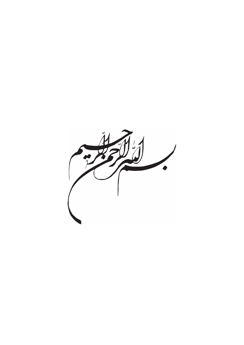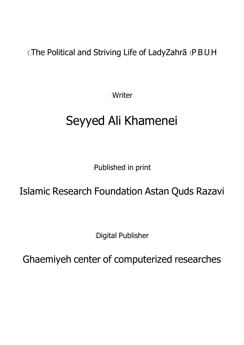(.The Political and Striving Life of LadyZahrā (P.B.U.H

:Writer

## Seyyed Ali Khamenei

:Published in print

### Islamic Research Foundation Astan Quds Razavi

:Digital Publisher

Ghaemiyeh center of computerized researches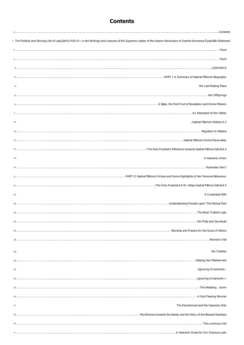#### **Contents**

<span id="page-4-0"></span>

| y The Political and Striving Life of LadyZahrā (P.B.U.H.): in the Writings and Lectures of the Supreme Leader of the Islamic Revolution of IranHis Eminence Āyatullāh Khāmeneī                                                |
|-------------------------------------------------------------------------------------------------------------------------------------------------------------------------------------------------------------------------------|
|                                                                                                                                                                                                                               |
|                                                                                                                                                                                                                               |
|                                                                                                                                                                                                                               |
|                                                                                                                                                                                                                               |
|                                                                                                                                                                                                                               |
|                                                                                                                                                                                                                               |
|                                                                                                                                                                                                                               |
|                                                                                                                                                                                                                               |
|                                                                                                                                                                                                                               |
|                                                                                                                                                                                                                               |
|                                                                                                                                                                                                                               |
|                                                                                                                                                                                                                               |
|                                                                                                                                                                                                                               |
|                                                                                                                                                                                                                               |
|                                                                                                                                                                                                                               |
|                                                                                                                                                                                                                               |
|                                                                                                                                                                                                                               |
|                                                                                                                                                                                                                               |
|                                                                                                                                                                                                                               |
| Her Piety and Servitude ( ) هي المستحقق المستحقق المستحقق المستحقق المستحقق المستحقق المستحقق المستحقق المستحقق المستحقق المستحقق المستحقق المستحقق المستحقق المستحقق المستحقق المستحقق المستحقق المستحقق المستحقق المستحقق ا |
|                                                                                                                                                                                                                               |
|                                                                                                                                                                                                                               |
|                                                                                                                                                                                                                               |
|                                                                                                                                                                                                                               |
|                                                                                                                                                                                                                               |
|                                                                                                                                                                                                                               |
|                                                                                                                                                                                                                               |
|                                                                                                                                                                                                                               |
|                                                                                                                                                                                                                               |
|                                                                                                                                                                                                                               |
|                                                                                                                                                                                                                               |
|                                                                                                                                                                                                                               |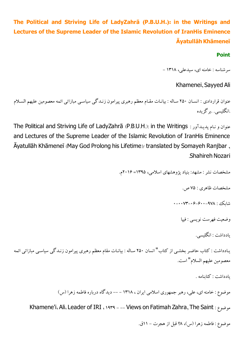#### <span id="page-6-1"></span><span id="page-6-0"></span>**The Political and Striving Life of LadyZahrā (P.B.U.H.): in the Writings and Lectures of the Supreme Leader of the Islamic Revolution of IranHis Eminence ĀyatullāhKhāmeneī**

**Point**

سرشناسه :خامنه اي،سیدعلی، 1318 -

Khamenei, Sayyed Ali

عنوان قراردادی : انسـان ٢۵٠ سـاله : بیانـات مقـام معظم رهبری پیرامون زنـدگی سیاسـی مبازاتی ائمه معصومین علیهم السـلام .انگلیسی. .برگزیده

The Political and Striving Life of LadyZahrā (P.B.U.H.): in the Writings : پدیـدآور نـام عنوانو and Lectures of the Supreme Leader of the Islamic Revolution of IranHis Eminence Āyatullāh Khāmeneī (May God Prolong his Lifetime)/ translated by Somayeh Ranjbar , .Shahireh Nozari

مشخصات نشر : مشهد: بنیاد پژوهشهاياسلامی، 1395= 2016م.

مشخصات ظاهري: 75ص.

شابک: 0-0073-06-600-978

وضعیت فهرست نویسی : فیپا

یادداشت : انگلیسی.

یـادداشت : کتاب حاضـر بخشـی از کتاب" انسان ٢۵۰ سـاله : بیانـات مقام معظم رهبری پیرامون زنـدگی سیاسـی مبازاتی ائمه معصومین علیهم السلام" است.

یادداشت :کتابنامه .

موضوع : خامنه ای، علی، رهبر جمهوری اسلامی ایران ، ۱۳۱۸ – –– دیدگاه درباره فاطمه زهرا (س)

Khamene'i، Ali، Leader of IRI ، 1939 - -- Views on Fatimah Zahra, The Saint :موضوع

موضوع: فاطمه زهرا (س)، ۹٪ قبل از هجرت – ۱۱ق.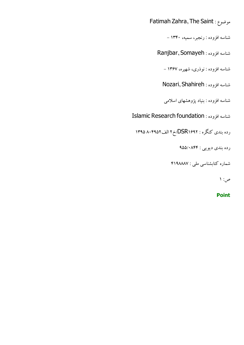Fatimah Zahra, The Saint :موضوع

شناسه افزوده : رنجبر،سمیه، -1340

شناسه افزوده : Somayeh ,Ranjbar

شناسه افزوده : نوذری، شهیره، ۱۳۶۷ –

شناسه افزوده : Shahireh ,Nozari

شناسه افزوده : بنیاد پژوهشهاياسلامی

Islamic Research foundation : افزوده شناسه

<span id="page-7-0"></span>رده بندي کنگره : DSR۱۶۹۲خ ۲ الف ۱۳۹۵ ۱۳۹۵

رده بندی دیویی : ۹۵۵/۰۸۴۴

شماره کتابشناسی ملی : ۴۱۹۸۸۸۷

ص: 1

**Point**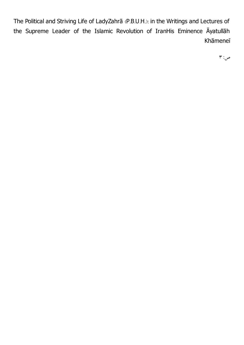The Political and Striving Life of LadyZahrā (P.B.U.H.): in the Writings and Lectures of the Supreme Leader of the Islamic Revolution of IranHis Eminence Āyatullāh Khāmeneī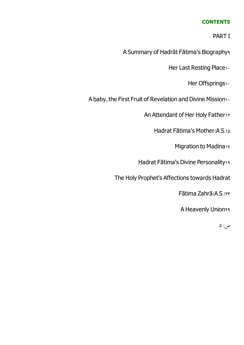#### **CONTENTS**

PART I

A Summary of Ḥadrāt Fātima's Biography9

Her Last Resting Place1.

Her Offsprings1.

<span id="page-11-0"></span>A baby, the First Fruit of Revelation and Divine Mission  $\cdots$ 

An Attendant of Her Holy Father \\*

Ḥadrat Fātima's Mother(A.S.15

**Migration to Madina1v** 

Hadrat Fātima's Divine Personality19

The Holy Prophet's Affections towards Ḥadrat

Fātima Zahrā(A.S.)24

**A Heavenly Union14**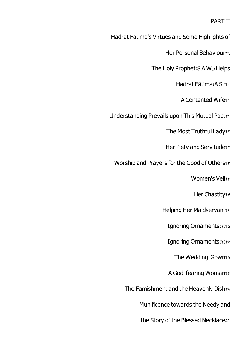#### PART II

Ḥadrat Fātima's Virtues and Some Highlights of

Her Personal Behaviours

The Holy Prophet(S.A.W.) Helps

Hadrat Fātima(A.S.) \*·

A Contented Wife $f$ 

Understanding Prevails upon This Mutual Pacter

The Most Truthful Lady<sub>FY</sub>

Her Piety and Servitude\*\*

Worship and Prayers for the Good of Otherser

Women's Veiler

Her Chastityff

Helping Her Maidservantee

Ignoring Ornaments(1)FA

Ignoring Ornaments(x)fe

The Wedding-Gownfa

A God-fearing Womanfe

The Famishment and the Heavenly Dish $A$ 

Munificence towards the Needy and

the Story of the Blessed Necklaces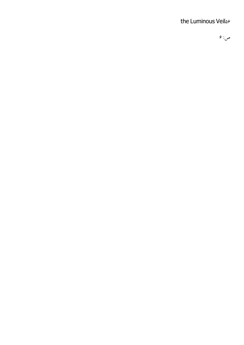#### the Luminous Veil<sup>56</sup>

 $9:$ ص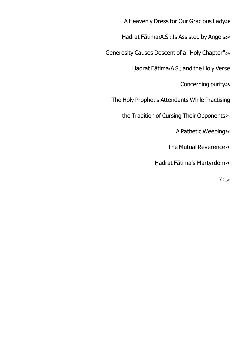A Heavenly Dress for Our Gracious Ladyse

Hadrat Fātima(A.S.) Is Assisted by Angels&v

Generosity Causes Descent of a "Holy Chapter"  $\triangle\wedge$ 

Ḥadrat Fātima(A.S.) and the Holy Verse

Concerning purity<sup>34</sup>

The Holy Prophet's Attendants While Practising

the Tradition of Cursing Their Opponents<sup>91</sup>

A Pathetic Weepinger

The Mutual Reverencess

Hadrat Fātima's Martyrdom<sup>84</sup>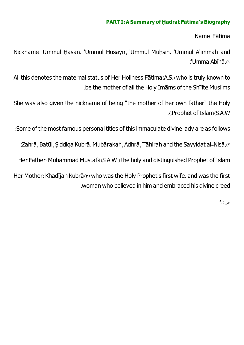#### **PART <sup>I</sup>: <sup>A</sup> Summary of Ḥ adrat Fātima's Biography**

Name: Fātima

<span id="page-16-0"></span>Nickname: Ummul Hasan, 'Ummul Husayn, 'Ummul Muhsin, 'Ummul A'immah and ('Umma Abīhā.(1

All this denotes the maternal status of Her Holiness Fātima(A.S.) who is truly known to .be the mother of all the Holy Imāms of the Shī'ite Muslims

She was also given the nickname of being "the mother of her own father" the Holy .(.Prophet of Islam(S.A.W

:Some of the most famous personal titles of this immaculate divine lady are as follows

(Zahrā, Batūl, Siddiga Kubrā, Mubārakah, Adhrā, Tāhirah and the Sayyidat al-Nisā.(1)

.Her Father: Muhammad Musṭafā(S.A.W.) the holy and distinguished Prophet of Islam

Her Mother: Khadījah Kubrā(\*) who was the Holy Prophet's first wife, and was the first .woman who believed in himand embraced his divine creed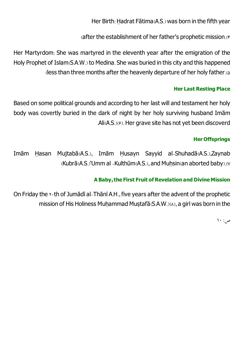Her Birth: Ḥadrat Fātima(A.S.) was born in the fifth year

(after the establishment of her father's prophetic mission.(4

Her Martyrdom: She was martyred in the eleventh year after the emigration of the Holy Prophet of Islam(S.A.W.) to Medina. She was buried in this city and this happened (less than three months after the heavenly departure of her holy father.(5

#### **Her Last Resting Place**

<span id="page-17-0"></span>Based on some political grounds and according to her last will and testament her holy body was covertly buried in the dark of night by her holy surviving husband Imām .Ali(A.S.)(6). Her grave site has not yet been discoverd

#### **Her Offsprings**

<span id="page-17-1"></span>Imām Ḥasan Mujtabā(A.S.), Imām Ḥusayn Sayyid al-Shuhadā(A.S.),Zaynab  $\langle$ Kubrā $\langle$ A.S. $\rangle$ 'Umm al -Kulthūm $\langle$ A.S. $\rangle$ , and Muhsin $\langle$ an aborted baby $\rangle$ . $\langle$ 

#### **<sup>A</sup> Baby,the First Fruit of Revelation and Divine Mission**

<span id="page-17-2"></span>On Friday the  $x \cdot$ th of Jumādī al-Thānī A.H., five years after the advent of the prophetic mission of His Holiness Muhammad Mustafā( $S.A.W.$ )( $\land$ ), a girl was born in the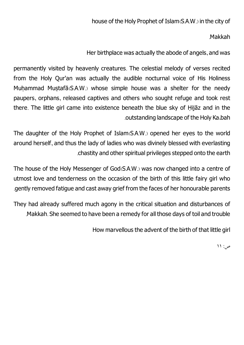.Makkah

Her birthplace was actually the abode of angels, and was

permanently visited by heavenly creatures. The celestial melody of verses recited from the Holy Qur'an was actually the audible nocturnal voice of His Holiness Muhammad Mustafā(S.A.W.) whose simple house was a shelter for the needy paupers, orphans, released captives and others who sought refuge and took rest there. The little girl came into existence beneath the blue sky of Ḥijāz and in the .outstanding landscape of the Holy Ka،bah

The daughter of the Holy Prophet of Islam(S.A.W.) opened her eyes to the world around herself, and thus the lady of ladies who was divinely blessed with everlasting .chastity and other spiritual privileges stepped onto the earth

The house of the Holy Messenger of God(S.A.W.) was now changed into a centre of utmost love and tenderness on the occasion of the birth of this little fairy girl who .gently removed fatigue and cast away grief fromthe faces of her honourable parents

They had already suffered much agony in the critical situation and disturbances of .Makkah. She seemed to have been a remedy for all those days of toil and trouble

How marvellous the advent of the birth of that little girl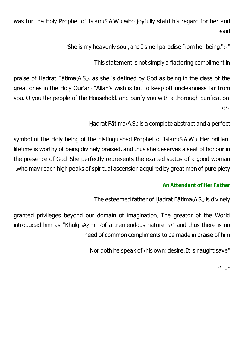was for the Holy Prophet of Islam(S.A.W.) who joyfully statd his regard for her and :said

(She is my heavenly soul, and I smell paradise from her being."(9")

This statement is not simply a flattering compliment in

praise of Ḥadrat Fātima(A.S.), as she is defined by God as being in the class of the great ones in the Holy Qur'an: "Allah's wish is but to keep off uncleanness far from you, O you the people of the Household, and purify you with a thorough purification.  $\mathcal{L}(\mathcal{L})$ 

Ḥadrat Fātima(A.S.) is a complete abstract and a perfect

symbol of the Holy being of the distinguished Prophet of Islam(S.A.W.). Her brilliant lifetime is worthy of being divinely praised, and thus she deserves a seat of honour in the presence of God. She perfectly represents the exalted status of a good woman .who may reach high peaks of spiritual ascension acquired by great men of pure piety

#### **An Attendant of Her Father**

The esteemed father of Ḥadrat Fātima(A.S.) is divinely

<span id="page-19-0"></span>granted privileges beyond our domain of imagination. The greator of the World introduced him as "Khulq Azim" (of a tremendous nature)(11) and thus there is no .need of common compliments to be made in praise of him

Nor doth he speak of (his own) desire. It is naught save"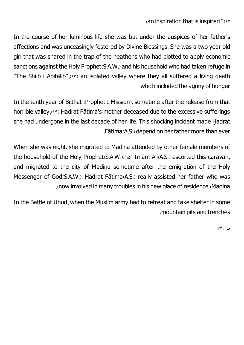#### (an inspiration that is inspired."(12

In the course of her luminous life she was but under the auspices of her father's affections and was unceasingly fostered by Divine Blessings. She was a two year old girl that was snared in the trap of the heathens who had plotted to apply economic sanctions against the Holy Prophet(S.A.W.) and his household who had taken refuge in "The Shi,b-i Abitalib", (14) an isolated valley where they all suffered a living death .which included the agony of hunger

In the tenth year of Bi،that (Prophetic Mission), sometime after the release from that horrible valley,(14) Hadrat Fātima's mother deceased due to the excessive sufferings she had undergone in the last decade of her life. This shocking incident made Ḥadrat .Fātima(A.S.) depend on her father more than ever

When she was eight, she migrated to Madina attended by other female members of the household of the Holy Prophet(S.A.W.).(14) Imam Ali(A.S.) escorted this caravan, and migrated to the city of Madina sometime after the emigration of the Holy Messenger of God(S.A.W.). Hadrat Fātima(A.S.) really assisted her father who was .(now involved inmany troubles in his new place of residence (Madina

In the Battle of Uhud, when the Muslim army had to retreat and take shelter in some ,mountain pits and trenches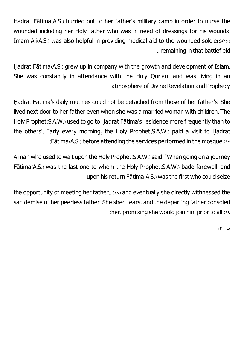Hadrat Fātima(A.S.) hurried out to her father's military camp in order to nurse the wounded including her Holy father who was in need of dressings for his wounds. Imam Ali(A.S.) was also helpful in providing medical aid to the wounded soldiers(18) ...remaining in that battlefield

Hadrat Fātima(A.S.) grew up in company with the growth and development of Islam. She was constantly in attendance with the Holy Qur'an, and was living in an .atmosphere of Divine Revelation and Prophecy

Ḥadrat Fātima's daily routines could not be detached from those of her father's. She lived next door to her father even when she was a married woman with children. The Holy Prophet(S.A.W.) used to go to Ḥadrat Fātima's residence more frequently than to the others'. Early every morning, the Holy Prophet(S.A.W.) paid a visit to Ḥadrat (Fātima(A.S.) before attending the services performed in the mosque.(17

A man who used to wait upon the Holy Prophet(S.A.W.) said: "When going on a journey Fātima(A.S.) was the last one to whom the Holy Prophet(S.A.W.) bade farewell, and upon his return Fātima(A.S.) was the first who could seize

the opportunity of meeting her father...(18) and eventually she directly withnessed the sad demise of her peerless father. She shed tears, and the departing father consoled (her, promising she would join himprior to all.(19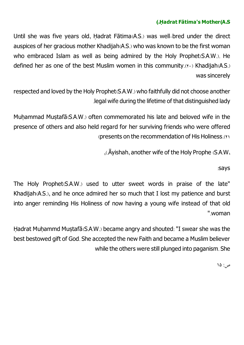#### **(.Ḥ adrat Fātima's Mother(A.<sup>S</sup>**

<span id="page-22-0"></span>Until she was five years old, Ḥadrat Fātima(A.S.) was well-bred under the direct auspices of her gracious mother Khadijah(A.S.) who was known to be the first woman who embraced Islam as well as being admired by the Holy Prophet(S.A.W.). He defined her as one of the best Muslim women in this community.( $\mathbf{v} \cdot$ ) Khadijah(A.S.) was sincerely

respected and loved by the Holy Prophet(S.A.W.) who faithfully did not choose another .legal wife during the lifetime of that distinguished lady

Muhammad Mustafā(S.A.W.) often commemorated his late and beloved wife in the presence of others and also held regard for her surviving friends who were offered (presents on the recommendation of His Holiness.(21

,(.Āyishah, another wife of the Holy Prophe (S.A.W،

:says

The Holy Prophet(S.A.W.) used to utter sweet words in praise of the late" Khadijah(A.S.), and he once admired her so much that I lost my patience and burst into anger reminding His Holiness of now having a young wife instead of that old ".woman

Hadrat Muhammd Mustafā(S.A.W.) became angry and shouted: "I swear she was the best bestowed gift of God. She accepted the new Faith and became a Muslim believer while the others were still plunged into paganism. She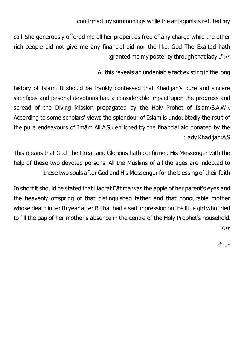confirmed my summonings while the antagonists refuted my

call. She generously offered me all her properties free of any charge while the other rich people did not give me any financial aid nor the like. God The Exalted hath (granted me my posterity through that lady..." $(222)$ 

All this reveals an undeniable fact existing in the long

history of Islam: It should be frankly confessed that Khadijah's pure and sincere sacrifices and pesonal devotions had a considerable impact upon the progress and spread of the Diving Mission propagated by the Holy Prohet of Islam(S.A.W.). According to some scholars' views the splendour of Islam is undoubtedly the rsult of the pure endeavours of Imām Ali(A.S.) enriched by the financial aid donated by the .(.lady Khadijah(A.S

This means that God The Great and Glorious hath confirmed His Messenger with the help of these two devoted persons. All the Muslims of all the ages are indebted to .these two souls after God and His Messenger for the blessing of their faith

In short it should be stated that Hadrat Fātima was the apple of her parent's eyes and the heavenly offspring of that distinguished father and that honourable mother whose death in tenth year after Bi،that had a sad impression on the little girl who tried to fill the gap of her mother's absence in the centre of the Holy Prophet's household.  $(11)$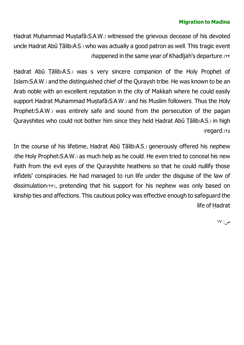#### **Migration to Madina**

<span id="page-24-0"></span>Hadrat Muhammad Mustafā(S.A.W.) witnessed the grievous decease of his devoted uncle Hadrat Abū Tālib(A.S.) who was actually a good patron as well. This tragic event (happened in the same year of Khadījah's departure.(24

Hadrat Abū Tālib(A.S.) was s very sincere companion of the Holy Prophet of Islam(S.A.W.) and the distinguished chief of the Quraysh tribe. He was known to be an Arab noble with an excellent reputation in the city of Makkah where he could easily support Hadrat Muhammad Mustafā(S.A.W.) and his Muslim followers. Thus the Holy Prophet(S.A.W.) was entirely safe and sound from the persecution of the pagan Qurayshites who could not bother him since they held Hadrat Abū Tālib(A.S.) in high (regard.(25

In the course of his lifetime, Hadrat Abū Tālib(A.S.) generously offered his nephew (the Holy Prophet(S.A.W.) as much help as he could. He even tried to conceal his new Faith from the evil eyes of the Qurayshite heathens so that he could nullify those infidels' conspiracies. He had managed to run life under the disguise of the law of dissimulation(xe), pretending that his support for his nephew was only based on kinship ties and affections. This cautious policy was effective enough to safeguard the life of Ḥadrat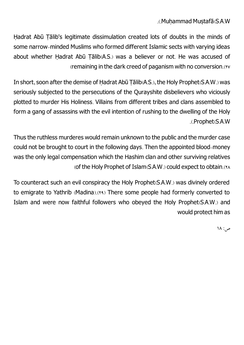.(.Muhạ mmad Musṭafā(S.A.W

Hadrat Abū Tālib's legitimate dissimulation created lots of doubts in the minds of some narrow-minded Muslims who formed different Islamic sects with varying ideas about whether Hadrat Abū Tālib(A.S.) was a believer or not. He was accused of (remaining in the dark creed of paganism with no conversion.(YV)

In short, soon after the demise of Hadrat Abū Tālib(A.S.), the Holy Prophet(S.A.W.) was seriously subjected to the persecutions of the Qurayshite disbelievers who viciously plotted to murder His Holiness. Villains from different tribes and clans assembled to form a gang of assassins with the evil intention of rushing to the dwelling of the Holy .(.Prophet(S.A.W

Thus the ruthless murderes would remain unknown to the public and the murder case could not be brought to court in the following days. Then the appointed blood-money was the only legal compensation which the Hashim clan and other surviving relatives (of the Holy Prophet of Islam(S.A.W.) could expect to obtain.(\*A

To counteract such an evil conspiracy the Holy Prophet(S.A.W.) was divinely ordered to emigrate to Yathrib (Madina).(14) There some people had formerly converted to Islam and were now faithful followers who obeyed the Holy Prophet(S.A.W.) and would protect himas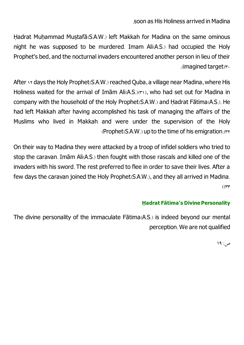#### .soon as His Holiness arrived in Madina

Hadrat Muhammad Mustafā(S.A.W.) left Makkah for Madina on the same ominous night he was supposed to be murdered. Imam Ali(A.S.) had occupied the Holy Prophet's bed, and the nocturnal invaders encountered another person in lieu of their .(imagined target(r.

After 18 days the Holy Prophet(S.A.W.) reached Quba, a village near Madina, where His Holiness waited for the arrival of Imām Ali(A.S.)(31), who had set out for Madina in company with the household of the Holy Prophet(S.A.W.) and Ḥadrat Fātima(A.S.). He had left Makkah after having accomplished his task of managing the affairs of the Muslims who lived in Makkah and were under the supervision of the Holy  $(Prophet(S.A.W.)$  up to the time of his emigration. $(rr)$ 

On their way to Madina they were attacked by a troop of infidel soldiers who tried to stop the caravan. Imām Ali(A.S.) then fought with those rascals and killed one of the invaders with his sword. The rest preferred to flee in order to save their lives. After a few days the caravan joined the Holy Prophet(S.A.W.), and they all arrived in Madina.  $($ ( $\forall$  $\forall$ 

#### **Ḥ adrat Fātima's Divine Personality**

<span id="page-26-0"></span>The divine personality of the immaculate Fātima(A.S.) is indeed beyond our mental perception. We are not qualified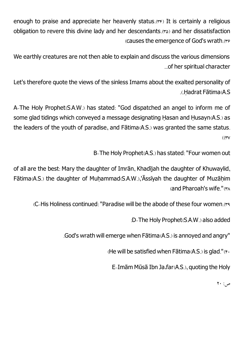enough to praise and appreciate her heavenly status.(\*\*) It is certainly a religious obligation to revere this divine lady and her descendants.(x) and her dissatisfaction (causes the emergence of God's wrath.(re

We earthly creatures are not then able to explain and discuss the various dimensions ...of her spiritual character

Let's therefore quote the views of the sinless Imams about the exalted personality of .(.Ḥadrat Fātima(A.S

A-The Holy Prophet(S.A.W.) has stated: "God dispatched an angel to inform me of some glad tidings which conveyed a message designating Ḥasan and Ḥusayn(A.S.) as the leaders of the youth of paradise, and Fātima(A.S.) was granted the same status.  $\mathcal{M}(\mathbf{y})$ 

B-The Holy Prophet(A.S.) has stated: "Four women out

of all are the best: Mary the daughter of Imrān, Khadījah the daughter of Khuwaylid, Fātima(A.S.) the daughter of Muḥammad(S.A.W.),'Āssīyah the daughter of Muzāḥim (and Pharoah's wife."(\*A

 $C$ -His Holiness continued: "Paradise will be the abode of these four women.

:D-The Holy Prophet(S.A.W.) also added

.God's wrath will emerge when Fātima(A.S.) is annoyed and angry"

(He will be satisfied when Fātima(A.S.) is glad." $(F)$ 

E-ImāmMūsā Ibn Ja،far(A.S.), quoting the Holy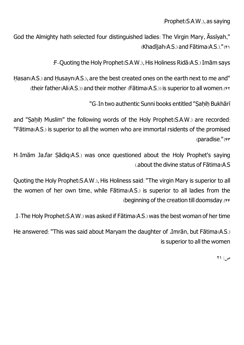:Prophet(S.A.W.), as saying

God the Almighty hath selected four distinguished ladies: The Virgin Mary, Āssīyah,"  $(Khad\ddot{\textbf{q}}$  and Fatima $(A.S.)$ ."(f)

:F-Quoting the Holy Prophet(S.A.W.), His Holiness Ridā(A.S.) Imāmsays

Hasan(A.S.) and Husayn(A.S.), are the best created ones on the earth next to me and"  $($ their father(Ali(A.S.)) and their mother (Fātima(A.S.)) is superior to all women.( $\gamma$ 

"G-In two authentic Sunni books entitled "Saḥiḥ Bukhārī

and "Sahih Muslim" the following words of the Holy Prophet(S.A.W.) are recorded: "Fātima(A.S.) is superior to all the women who are immortal rsidents of the promised (paradise."(F)

H-Imām Ja،far Sādiq(A.S.) was once questioned about the Holy Prophet's saving (.about the divine status of Fātima(A.S

Quoting the Holy Prophet(S.A.W.), His Holiness said: "The virgin Mary is superior to all the women of her own time, while Fātima(A.S.) is superior to all ladies from the (beginning of the creation till doomsday.(44

.I-The Holy Prophet(S.A.W.) was asked if Fātima(A.S.) was the best woman of her time

He answered: "This was said about Maryam the daughter of ،Imrān, but Fātima(A.S.) is superior to all the women

 $\gamma$ : 71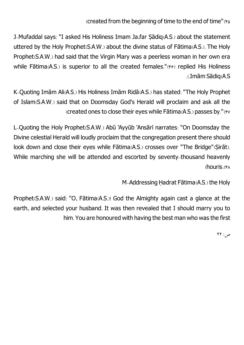(created from the beginning of time to the end of time" $(*\triangle)$ 

J-Mufaddal says: "I asked His Holiness Imam Ja،far Sādiq(A.S.) about the statement uttered by the Holy Prophet(S.A.W.) about the divine status of Fātima(A.S.). The Holy Prophet(S.A.W.) had said that the Virgin Mary was a peerless woman in her own era while Fātima(A.S.) is superior to all the created females."(49) replied His Holiness .(.ImāmSādiq(A.S

K-Quoting Imām Ali(A.S.) His Holiness Imām Ridā(A.S.) has stated: "The Holy Prophet of Islam(S.A.W.) said that on Doomsday God's Herald will proclaim and ask all the (created ones to close their eyes while  $F\bar{a}$ tima(A.S.) passes by."( $\gamma$ 

L-Quoting the Holy Prophet(S.A.W.) Abū 'Ayyūb 'Ansārī narrates: "On Doomsday the Divine celestial Herald will loudly proclaim that the congregation present there should look down and close their eyes while Fātima(A.S.) crosses over "The Bridge"(Sịrāt). While marching she will be attended and escorted by seventy-thousand heavenly (houris.<sup>(4)</sup>

M-Addressing Ḥadrat Fātima(A.S.) the Holy

Prophet(S.A.W.) said: "O, Fātima(A.S.)! God the Almighty again cast a glance at the earth, and selected your husband. It was then revealed that I should marry you to him. You are honoured with having the best man who was the first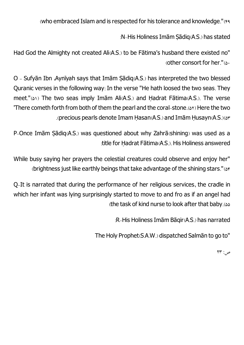(who embraced Islamand is respected for his tolerance and knowledge."(49

:N-His Holiness Imām Sādiq(A.S.) has stated

Had God the Almighty not created Ali(A.S.) to be Fātima's husband there existed no" (other consort for her." $(\delta)$ 

O - Sufyān Ibn ،Aynīyah says that Imām Sạ̄ diq(A.S.) has interpreted the two blessed Quranic verses in the following way: In the verse "He hath loosed the two seas. They meet."( $\triangle$ 1) The two seas imply Imām Ali(A.S.) and Hadrat Fātima(A.S.). The verse 'There cometh forth fromboth of themthe pearl and the coral-stone.(52) Here the two .(precious pearls denote ImamḤasan(A.S.) and ImāmḤusayn(A.S.)(53

P-Once Imām Sādiq(A.S.) was questioned about why Zahrā(shining) was used as a :title for Ḥadrat Fātima(A.S.). His Holiness answered

While busy saying her prayers the celestial creatures could observe and enjoy her" (brightness just like earthly beings that take advantage of the shining stars."(54

Q-It is narrated that during the performance of her religious services, the cradle in which her infant was lying surprisingly started to move to and fro as if an angel had (the task of kind nurse to look after that baby.(55

:R-His Holiness ImāmBāqir(A.S.) has narrated

The Holy Prophet(S.A.W.) dispatched Salmān to go to"

 $\mathsf{Y}\mathsf{Y}^*$ : حس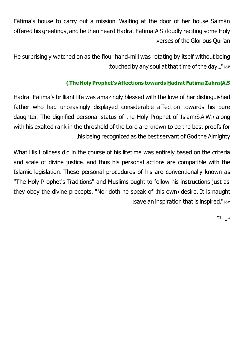Fātima's house to carry out a mission. Waiting at the door of her house Salmān offered his greetings, and he then heard Ḥadrat Fātima(A.S.) loudly reciting some Holy .verses of the Glorious Qur'an

He surprisingly watched on as the flour hand-mill was rotating by itself without being (touched by any soul at that time of the day..."(49)

#### **(.TheHoly Prophet's Affections towards Ḥ adrat Fātima Zahrā(A.<sup>S</sup>**

<span id="page-31-0"></span>Ḥadrat Fātima's brilliant life was amazingly blessed with the love of her distinguished father who had unceasingly displayed considerable affection towards his pure daughter. The dignified personal status of the Holy Prophet of Islam(S.A.W.) along with his exalted rank in the threshold of the Lord are known to be the best proofs for .his being recognized as the best servant of God the Almighty

What His Holiness did in the course of his lifetime was entirely based on the criteria and scale of divine justice, and thus his personal actions are compatible with the Islamic legislation. These personal procedures of his are conventionally known as "The Holy Prophet's Traditions" and Muslims ought to follow his instructions just as they obey the divine precepts. "Nor doth he speak of (his own) desire. It is naught (save an inspiration that is inspired." $(\Delta v)$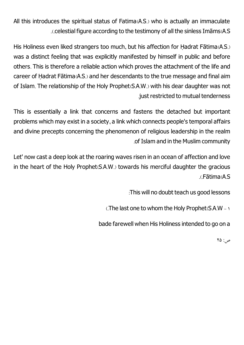All this introduces the spiritual status of Fatima(A.S.) who is actually an immaculate .(.celestial figure according to the testimony of all the sinless Imāms(A.S

His Holiness even liked strangers too much, but his affection for Ḥadrat Fātima(A.S.) was a distinct feeling that was explicitly manifested by himself in public and before others. This is therefore a reliable action which proves the attachment of the life and career of Ḥadrat Fātima(A.S.) and her descendants to the true message and final aim of Islam. The relationship of the Holy Prophet(S.A.W.) with his dear daughter was not .just restricted to mutual tenderness

This is essentially a link that concerns and fastens the detached but important problems which may exist in a society, a link which connects people's temporal affairs and divine precepts concerning the phenomenon of religious leadership in the realm .of Islamand in the Muslimcommunity

Let' now cast a deep look at the roaring waves risen in an ocean of affection and love in the heart of the Holy Prophet(S.A.W.) towards his merciful daughter the gracious .(.Fātima(A.S

:This will no doubt teach us good lessons

(The last one to whom the Holy Prophet( $S.A.W - Y$ 

bade farewell when His Holiness intended to go on a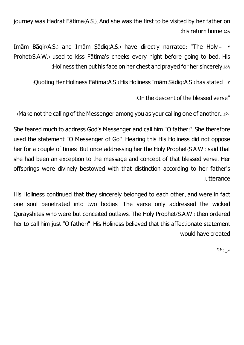journey was Ḥadrat Fātima(A.S.). And she was the first to be visited by her father on (his return home.(58

Imām Bāgir $(A, S)$  and Imām Sādig $(A, S)$  have directly narrated: "The Holy -  $\gamma$ Prohet(S.A.W.) used to kiss Fātima's cheeks every night before going to bed. His (Holiness then put his face on her chest and prayed for her sincerely.<sup>(29</sup>)

:Quoting Her Holiness Fātima(A.S.) His Holiness Imām Sādig(A.S.) has stated -  $\tau$ 

:On the descent of the blessed verse"

(Make not the calling of the Messenger among you as your calling one of another... $\left( \epsilon \right)$ 

She feared much to address God's Messenger and call him "O father!". She therefore used the statement "O Messenger of Go". Hearing this His Holiness did not oppose her for a couple of times. But once addressing her the Holy Prophet(S.A.W.) said that she had been an exception to the message and concept of that blessed verse. Her offsprings were divinely bestowed with that distinction according to her father's .utterance

His Holiness continued that they sincerely belonged to each other, and were in fact one soul penetrated into two bodies. The verse only addressed the wicked Qurayshites who were but conceited outlaws. The Holy Prophet(S.A.W.) then ordered her to call him just "O father!". His Holiness believed that this affectionate statement would have created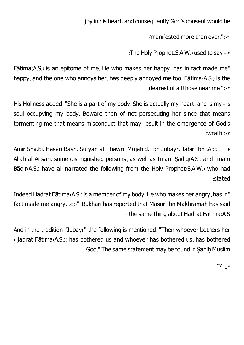joy in his heart, and consequently God's consent would be

(manifested more than ever." $(61)$ 

:The Holy Prophet  $(S.A.W.)$  used to say -  $\epsilon$ 

Fātima(A.S.) is an epitome of me. He who makes her happy, has in fact made me" happy, and the one who annoys her, has deeply annoyed me too. Fātima(A.S.) is the (dearest of all those near me." $(8)$ 

His Holiness added: "She is a part of my body. She is actually my heart, and is my  $- \circ$ soul occupying my body. Beware then of not persecuting her since that means tormenting me that means misconduct that may result in the emergence of God's (wrath. $(F<sup>*</sup>)$ 

Āmir Sha،bī, Hasan Basrī, Sufyān al-Thawrī, Mujāhid, Ibn Jubayr, Jābir Ibn Abd- $\epsilon$  –  $\epsilon$ Allāh al-Ansārī, some distinguished persons, as well as Imam Sādig(A.S.) and Imām Bāgir(A.S.) have all narrated the following from the Holy Prophet(S.A.W.) who had :stated

Indeed Ḥadrat Fātima(A.S.) is a member of my body. He who makes her angry, has in" fact made me angry, too". Bukhārī has reported that Masūr Ibn Makhramah has said .(.the same thing about Ḥadrat Fātima(A.S

And in the tradition "Jubayr" the following is mentioned: "Then whoever bothers her (Ḥadrat Fātima(A.S.)) has bothered us and whoever has bothered us, has bothered God." The same statement may be found in Saḥiḥ Muslim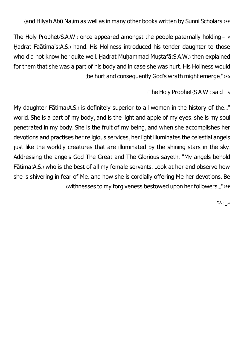(and Hilyah Abū Na، im as well as in many other books written by Sunni Scholars. (۶۴

The Holy Prophet( $S.A.W.$ ) once appeared amongst the people paternally holding  $\vee$ Ḥadrat Faātima's(A.S.) hand. His Holiness introduced his tender daughter to those who did not know her quite well. Hadrat Muhammad Mustafā(S.A.W.) then explained for them that she was a part of his body and in case she was hurt, His Holiness would (be hurt and consequently God's wrath might emerge." $(65)$ 

:The Holy Prophet( $S.A.W.$ ) said -  $\land$ 

My daughter Fātima(A.S.) is definitely superior to all women in the history of the..." world. She is a part of my body, and is the light and apple of my eyes. she is my soul penetrated in my body. She is the fruit of my being, and when she accomplishes her devotions and practises her religious services, her light illuminates the celestial angels just like the worldly creatures that are illuminated by the shining stars in the sky. Addressing the angels God The Great and The Glorious sayeth: "My angels behold Fātima(A.S.) who is the best of all my female servants. Look at her and observe how she is shivering in fear of Me, and how she is cordially offering Me her devotions. Be (withnesses to my forgiveness bestowed upon her followers..." $(99$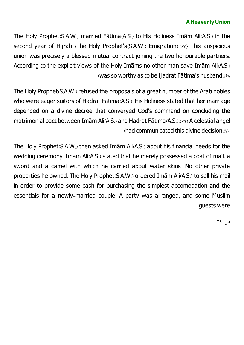#### **A Heavenly Union**

The Holy Prophet(S.A.W.) married Fātima(A.S.) to His Holiness Imām Ali(A.S.) in the second year of Hijrah (The Holy Prophet's(S.A.W.) Emigration).( $9$ v) This auspicious union was precisely a blessed mutual contract joining the two honourable partners. According to the explicit views of the Holy Imāms no other man save Imām Ali(A.S.) (was so worthy as to be Hadrat Fātima's husband.( $\frac{\epsilon}{4}$ 

The Holy Prophet(S.A.W.) refused the proposals of a great number of the Arab nobles who were eager suitors of Ḥadrat Fātima(A.S.). His Holiness stated that her marriage depended on a divine decree that converyed God's command on concluding the matrimonial pact between Imām Ali(A.S.) and Ḥadrat Fātima(A.S.).(69) A celestial angel (had communicated this divine decision. $(v<sub>0</sub>)$ 

The Holy Prophet(S.A.W.) then asked Imām Ali(A.S.) about his financial needs for the wedding ceremony. Imam Ali(A.S.) stated that he merely possessed a coat of mail, a sword and a camel with which he carried about water skins. No other private properties he owned. The Holy Prophet(S.A.W.) ordered Imām Ali(A.S.) to sell his mail in order to provide some cash for purchasing the simplest accomodation and the essentials for a newly-married couple. A party was arranged, and some Muslim guests were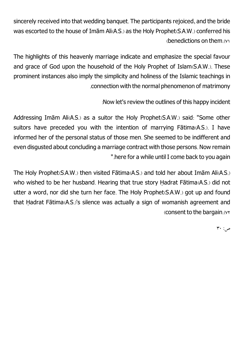sincerely received into that wedding banquet. The participants rejoiced, and the bride was escorted to the house of Imām Ali(A.S.) as the Holy Prophet(S.A.W.) conferred his (benedictions on them.(71

The highlights of this heavenly marriage indicate and emphasize the special favour and grace of God upon the household of the Holy Prophet of Islam(S.A.W.). These prominent instances also imply the simplicity and holiness of the Islamic teachings in .connection with the normal phenomenon of matrimony

:Now let's review the outlines of this happy incident

Addressing Imām Ali(A.S.) as a suitor the Holy Prophet(S.A.W.) said: "Some other suitors have preceded you with the intention of marrying Fātima(A.S.). I have informed her of the personal status of those men. She seemed to be indifferent and even disgusted about concluding a marriage contract with those persons. Now remain ".here for a while until I come back to you again

The Holy Prophet(S.A.W.) then visited Fātima(A.S.) and told her about Imām Ali(A.S.) who wished to be her husband. Hearing that true story Hadrat Fātima(A.S.) did not utter a word, nor did she turn her face. The Holy Prophet(S.A.W.) got up and found that Ḥadrat Fātima(A.S.)'s silence was actually a sign of womanish agreement and (consent to the bargain.(72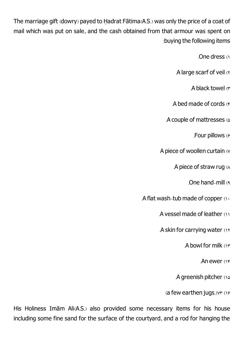The marriage gift (dowry) payed to Ḥadrat Fātima(A.S.) was only the price of a coat of mail which was put on sale, and the cash obtained from that armour was spent on :buying the following items

.One dress (1

.A large scarf of veil (2

A black towel (r

.A bed made of cords  $(F)$ 

.A couple of mattresses (5

.Four pillows (6

A piece of woollen curtain (y

.A piece of straw rug  $(A)$ 

.One hand-mill (9

.A flat wash-tub made of copper  $(1)$ 

.A vesselmade of leather (11

.A skin for carrying water (17

.A bowl for milk (13

.An ewer (14

.A greenish pitcher (15

(a few earthen jugs.  $(vr)(16)$ 

His Holiness Imām Ali(A.S.) also provided some necessary items for his house including some fine sand for the surface of the courtyard, and a rod for hanging the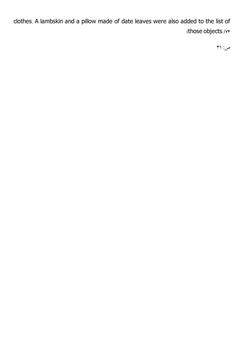clothes. A lambskin and a pillow made of date leaves were also added to the list of (those objects.(74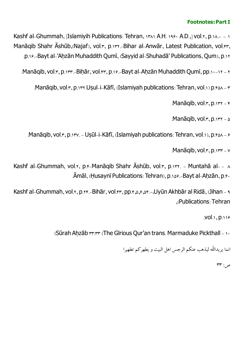#### **Footnotes: PartI**

Kashf al-Ghummah, [Islamiyih Publications: Tehran,  $1441$ ,  $1481$ ,  $1481$ ,  $1481$ ,  $1001$ , $1, p.11$ . Manāqib Shahr Āshūb, (Najaf), vol.r, p.1rt.-Bihar al-Anwār, Latest Publication, vol.fr, .p.16.-Bayt al-'Ahẓ ān Muhaddith Qumī, (Sayyid al-Shuhadā' Publications, Qum), p.12

.Manāqib, vol. r, p. 1 rr. - Bihār, vol. 4 r, p. 16. - Bayt al-Ahzān Muhaddith Qumī, pp. 16-11

.Manāqib, vol. τ, p. 1 τ. Usul-i-Kāfī, (Islamiyah publications: Tehran, vol.1) p. τ ελ - τ

 $M$ anāqib, vol. $\mathbf{r}, \mathbf{p}$ .1432 -  $\mathbf{r}$ 

 $M$ anāqib, vol. $\mathbf{r}, \mathbf{p}$ .1432 - 6

.Manāqib, vol. $x, p_1x$ . - Usūl-i-Kāfī, (Islamiyah publications: Tehran, vol.1), p. $6\lambda - 6$ 

 $M$ anāqib, vol. $x, p$ . $y + -y$ 

Kashf al-Ghummah, vol.x, p.x-Manāqib Shahr Āshūb, vol.x, p.1xx. - Muntahā al- - A .Āmāl, (Husaynī Publications: Tehran), p. 148. - Bayt al-Ahzān, p. 8.

Kashf al-Ghummah, vol.x, p.xf.-Bihār, vol.fr, pp.f., s, e, sf.-، Uyūn Akhbār al Ridā, (Jihan - 9 ,(Publications: Tehran

.vol.1, p.116

(Sūrah Ahzāb rr:rr (The Glrious Qur'an trans. Marmaduke Pickthall - 10

انما یریداللّه لیذهب عنکم الرجس اهل البیت و یطهر کم تطهیرا

 $\mathsf{rr}:\mathsf{S}$ ص: ۳۳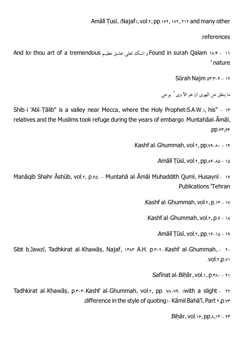.references

And lo! thou art of a tremendous و انــک لعلی خلــق عظیـم And lo! thou art of a tremendous '.nature

Sūrah Najm $\Delta x: x-y$ 

ما ینطق عن الهوی ان هو الا وی <sup>..</sup> یوحی

Shib-i 'Abī-Tālib" is a valley near Mecca, where the Holy Prophet(S.A.W.), his" - 17 relatives and the Muslims took refuge during the years of embargo. Muntahāal-Āmāl, .pp. $54,54$ 

.Kashf al-Ghummah, vol.x, pp. $y_1$ ,  $y_2$ 

.Amālī Tūsī, vol. τ, pp. *Νε-λδ - 16* 

Manāqib Shahr Āshūb, vol.x, p. $\ell$ . - Muntahā al-Āmāl Muhaddith Qumī, Husaynī - 1 $\ell$ .Publications 'Tehran

.Kashf al-Ghummah,  $vol.x$ ,  $p_1x - iv$ 

.Kashf al-Ghummah, vol.x,  $p.e.$  14

Amālī Tūsī, vol.x, pp. 14-16 - 19

Sibt b.Jawzī, Tadhkirat al-Khawās, Najaf, 1383 A.H. p.x. r.-Kashf al-Ghummah, - 20 .vol.r,p.v

.Safīnat al-Bihār, vol.1, p. $A_1$ .

Tadhkirat al-Khawās, p.x.x-Kashf al-Ghummah, vol.x, pp. vn-vs. (with a slight - xx .difference in the style of quoting) - Kāmil Bahā'ī, Part 1, p.yr

 $Bih\bar{a}r$ , vol.18, pp.A,15 - 133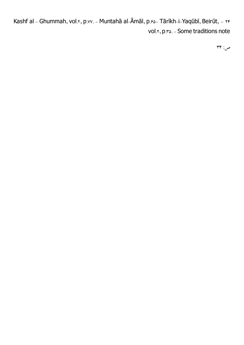Kashf al - Ghummah, vol.x, p.vv. - Muntahā al-Āmāl, p. e- Tārīkh-i-Yaqūbī, Beirūt, - xx vol.x, p.xo. - Some traditions note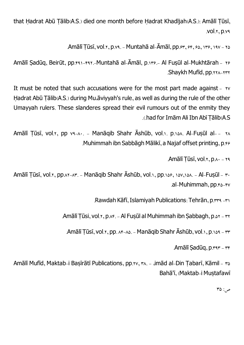that Hadrat Abū Tālib(A.S.) died one month before Hadrat Khadījah(A.S.): Amālī Tūsī, .vol.2, p.79

.Amālī Tūsī, vol. $x, p.v$ ,  $-$  Muntahā al-Āmāl, pp. $5x, 56, 18, 18, 19, 19, 136$ 

Amālī Sadūq, Beirūt, pp.f41-f41.-Muntahā al-Āmāl, p.149.- Al Fusūl al-Mukhtārah - 19 .Shaykh Mufīd, pp.\*\*^-\*\*\*

It must be noted that such accusations were for the most part made against - YV Hadrat Abū Tālib(A.S.) during Mu,āviyyah's rule, as well as during the rule of the other Umayyah rulers. These slanderes spread their evil rumours out of the enmity they .(.had for ImāmAli Ibn Abī Tạ̄ lib(A.S

Amālī Tūsī, vol.x, pp ya-A.. - Manāqib Shahr Āshūb, vol.1. p.16A. Al-Fusūl al- - xA .Muhimmah ibn Sabbāgh Mālikī, a Najaf offset printing, p.46

.Amālī Tūsī, vol. $x, p_{\Lambda}$ . – 29

Amālī Tūsī, vol.x, pp.xx-xx. - Manāqib Shahr Āshūb, vol.1, pp.146, 148,148. - Al-Fusūl - x. .al-Muhimmah, pp.ro-FV

.Rawdah Kāfī, Islamiyah Publications: Tehrān, p.rrs -ri

.Amālī Tūsi, vol.x, p.xf. - Al Fusūl al Muhimmah ibn Sabbagh, p.sx - xx

.Amālī Tūsī, vol. $x$ , pp.  $x_{x-4,0}$ . - Manāqib Shahr Āshūb, vol.1, p.169 -  $rr$ 

Amālī Sadūq, p.rsr - rr

Amālī Mufīd, Maktab-i Basīrātī Publications, pp.xv, xx. - ,imād al-Din Tabarī, Kāmil - x Bahā'ī, (Maktab-i Mustafawī

 $\mathsf{r}\mathsf{\omega}$ ص: 75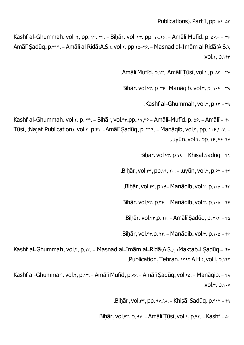$P$ ublications), Part I, pp.  $\triangle$ 1- $\triangle$ 3

Kashf al-Ghummah, vol.  $x$ , pp. 14,  $x$ f. - Bihār, vol.  $x$ , pp. 19, 19. - Amālī Mufīd, p.  $x^2 - x^2$ Amālī Sadūq, p. \* 1 \*. - Amālī al Ridā(A.S.), vol. r, pp. r a- r ?. - Masnad al-Imām al Ridā(A.S.),  $.vol.1$ ,  $p.1$ 

.Amālī Mufīd, p.  $Y - A$ mālī Tūsī, vol. $y, p, x^2 - y^2$ 

 $Bihār, vol.rr, p. r.-Aanāqib, vol.r, p. i.44 - r.$ 

.Kashf al-Ghummah,  $vol.r, p.rr - ra$ 

Kashf al-Ghummah, vol. $x, p$ .  $x_{\text{F}}$ . - Bihār, vol. $x_{\text{F}}$ , pp..19, $x_{\text{F}}$  - Amālī-Mufīd, p.  $x_{\text{F}}$ . - Amālī -  $x_{\text{F}}$ Tūsī, (Najaf Publication), vol.1, p.11. -Amālī Sadūq, p. 111. - Manāqib, vol.1, pp. 118.11.  $u$ uyūn, vol. $x$ , pp.  $x$  $\epsilon$ ,  $x \epsilon$  $\epsilon$ - $x \sqrt{2}$ 

.Bihạ̄ r, vol.43, p.19. - Khisạ̄ l Sạ dūq - 41

 $Bih\bar{a}r$ , vol. $4r$ , pp.19,  $3r$ . -  $\alpha$ uyūn, vol. $\gamma$ , p. $\beta\gamma$  -  $\gamma\gamma$ 

 $Bihār, vol.rr, p.rs$ - Manāqib, vol. $r, p.105$  -  $rr$ 

 $Bihār, vol.fr, p.r. – Manāqib, vol.r, p.106 -  $fr$$ 

.Bihār, vol.fr, p. 19. - Amālī Sadūq, p. raf - fa

.Bihār, vol. $f, p. Yf. - Manāqib, vol.r, p.105 - ff$ 

Kashf al-Ghummah, vol.x, p.1x. - Masnad al-Imām al-Ridā(A.S.), (Maktab-i Sadūq - \*v .Publication, Tehran, 1rat A.H.), vol.l, p.1ft

Kashf al-Ghummah, vol.x, p.1r. - Amālī Mufīd, p.vs. - Amālī Sadūq, vol.xs. - Manāqib, - x  $.vol.r, p. \vee \vee$ 

.Bihār, vol.4t, pp. 91,94. - Khisāl Sadūq, p. 117 - 199

Bihār, vol. $4x$ , p.  $4y$ . - Amālī Tūsī, vol.1, p. $4x$ . - Kashf -  $\delta$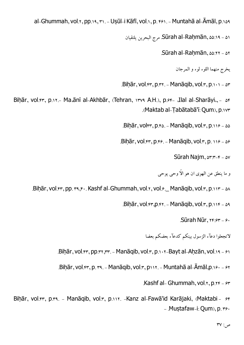al-Ghummah, vol.x, pp.19, x1. - Uṣūl-i Kāfī, vol.1, p. 161. - Muntahā al-Āmāl, p.169

مرجالبحرینیلتقیان .Sūrah al-Rahṃ ān, 55:19 - 51

 $.Sūrah al-Rahmān,  $\omega$ : $22 \times 22$$ 

یخرجمنهما اللوء لوء و المرجان

 $Bihār, vol.fr, p.rr. - Manāqib, vol.r, p.111 - sr$ 

Bihār, vol.64, p.11.- Ma،ānī al-Akhbār, (Tehran, 1479 A.H.), p.64- ،Ilal al-Sharāyi., - 54 .(Maktab al-Tạ bātabā'ī: Qum), p.173

 $Bihār, volrr, p.e. - Manāqib, vol.r, p.119 - 85$ 

.Bihār, vol. $45$ , p. $46.$  - Manāqib, vol. $45$ , p. 116 - 56

Sūrah Najm,  $\Delta r: r-r - \Delta v$ 

و ما ینطق عن الهوي ان هو الاّ وحی پوحی

.Bihār, vol.47, pp. 39,540. Kashf al-Ghummah, vol.1, vol.6. Manāqib, vol.3, p.117 - 58

 $Bihār, vol.fr, p.r. - Manāqib, vol.r, p.116 - 59$ 

.Sūrah Nūr,  $Yf:5f - 6$ 

لاتجعلوا دعآء الزسول بینکم کدعآء بعضکم بعضا

.Biḥār, vol.fr, pp.rt, rr. - Manāqib, vol.r, p.101-Bayt al-Aḥzān, vol.19 - 81

.Biḥār, vol.fr, p. r٩. - Manāqib, vol.r, p١١٢. - Muntahā al-Āmāl,p.١۶٠ - ۶٢

.Kashf al- Ghummah, vol.y,  $p_1x + p_2y + q_3$ 

Bihār, vol.47, p.14. - Manāqib, vol.1, p.111. -Kanz al-Fawā'id Karājaki, (Maktabi- 64  $-$  . Mustafaw-i: Qum), p.  $\gamma$ .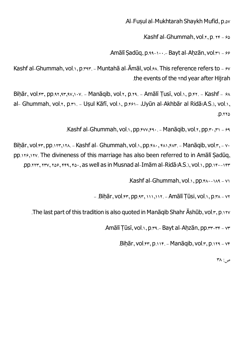# .Al-Fusul al-Mukhtarah Shaykh Mufīd, p. $\omega$

.Kashf al-Ghummah,  $vol.r, p. r_f - so$ 

.Amālī Sadūq, p.99-100.- Bayt al-Ahzān, vol. $x_1 - 86$ 

Kashf al-Ghummah, vol.1, p. 393. - Muntahā al-Āmāl, vol.68. This reference refers to - 67 .the events of the *xnd* year after Hijrah

Bihār, vol. $45$ , pp.93,  $95,97,97,107.$  - Manāqib, vol.3, p.79. - Amālī Tusī, vol.1, p.43. - Kashf -  $68$ al- Ghummah, vol.x, p.x). - Usul Kāfī, vol.), p.xe) - ،Uyūn al-Akhbār al Ridā(A.S.), vol.),  $.712$ 

.Kashf al-Ghummah, vol.1, pp. $fvv,f9$ . - Manāqib, vol.1, pp. $r \cdot f1 - f9$ 

Bihār, vol.47, pp.117, 114. - Kashf al- Ghummah, vol.1, pp.444, 481, 487. - Manāqib, vol.7, - 74 pp.138,137. The divineness of this marriage has also been referred to in Amālī Sadūg, .pp. 2237, 237, 238, 239, 237, 238, 237, 237, 237, 241, 250, 250, 250, 251, 250, 251, 250, 251, pp.144-1430.

 $Kashf$  al-Ghummah, vol.1, pp. $f \wedge (-1) \wedge (-1)$ 

 $-$  .Bihār, vol. $5r$ , pp.4 $r$ ,  $111,118$ . - Amālī Tūsi, vol.1, p. $5r$ 

. The last part of this tradition is also quoted in Manāqib Shahr Āshūb, vol. $r, p.177$ 

.Amālī Tūsī, vol.1, p.rs.- Bayt al-Ahzān, pp.rr-rr - yr

.Bihār, vol.44, p.114. - Manāqib, vol.4, p.114 - 74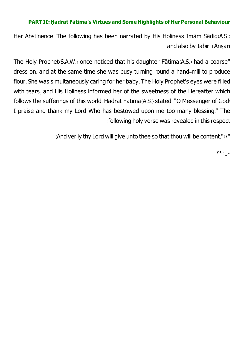#### **PART II:Ḥ adrat Fātima's Virtues and SomeHighlights of Her Personal Behaviour**

Her Abstinence: The following has been narrated by His Holiness Imam Sadiq(A.S.) :and also by Jābir-i Ansārī

The Holy Prophet(S.A.W.) once noticed that his daughter Fātima(A.S.) had a coarse" dress on, and at the same time she was busy turning round a hand-mill to produce flour. She was simultaneously caring for her baby. The Holy Prophet's eyes were filled with tears, and His Holiness informed her of the sweetness of the Hereafter which follows the sufferings of this world. Hadrat Fātima(A.S.) stated: "O Messenger of God! I praise and thank my Lord Who has bestowed upon me too many blessing." The :following holy verse was revealed in this respect

(And verily thy Lord will give unto thee so that thou will be content."(1"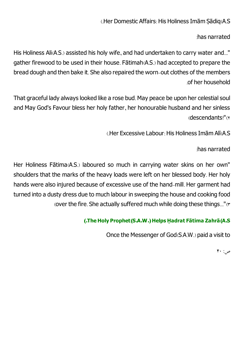# (Her Domestic Affairs: His Holiness Imām Sādig(A.S

:has narrated

His Holiness Ali(A.S.) assisted his holy wife, and had undertaken to carry water and..." gather firewood to be used in their house. Fātimah(A.S.) had accepted to prepare the bread dough and then bake it. She also repaired the worn-out clothes of the members .of her household

That graceful lady always looked like a rose bud. May peace be upon her celestial soul and May God's Favour bless her holy father, her honourable husband and her sinless (descendants!")

(.Her Excessive Labour: His Holiness ImāmAlī(A.S

:has narrated

Her Holiness Fātima(A.S.) laboured so much in carrying water skins on her own" shoulders that the marks of the heavy loads were left on her blessed body. Her holy hands were also injured because of excessive use of the hand-mill. Her garment had turned into a dusty dress due to much labour in sweeping the house and cooking food (over the fire. She actually suffered much while doing these things..."(\*

# **(.TheHoly Prophet(S.A.W.)Helps Ḥ adrat Fātima Zahrā(A.<sup>S</sup>**

Once the Messenger of God(S.A.W.) paid a visit to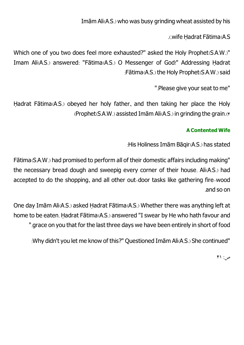ImāmAli(A.S.) who was busy grinding wheat assisted by his

.(.wife Ḥadrat Fātima(A.S

Which one of you two does feel more exhausted?" asked the Holy Prophet(S.A.W.)" Imam Ali(A.S.) answered: "Fātima(A.S.) O Messenger of God!" Addressing Hadrat :Fātima(A.S.) the Holy Prophet(S.A.W.) said

".Please give your seat to me"

Hadrat Fātima(A.S.) obeyed her holy father, and then taking her place the Holy (Prophet(S.A.W.) assisted ImāmAli(A.S.) in grinding the grain.(4

### **A Contented Wife**

: His Holiness Imām Bāqir(A.S.) has stated

Fātima(S.A.W.) had promised to perform all of their domestic affairs including making" the necessary bread dough and sweepig every corner of their house. Ali(A.S.) had accepted to do the shopping, and all other out-door tasks like gathering fire-wood .and so on

One day Imām Ali(A.S.) asked Ḥadrat Fātima(A.S.) Whether there was anything left at home to be eaten. Ḥadrat Fātima(A.S.) answered "I swear by He who hath favour and ".grace on you that for the last three days we have been entirely in short of food

:Why didn't you let me know of this?" Questioned ImāmAli(A.S.) She continued"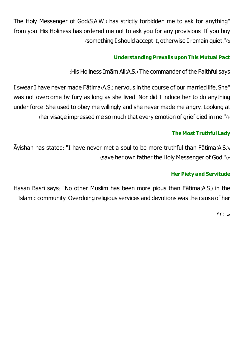The Holy Messenger of God(S.A.W.) has strictly forbidden me to ask for anything" from you. His Holiness has ordered me not to ask you for any provisions. If you buy (something I should accept it, otherwise I remain quiet." $\omega$ 

### **Understanding Prevails upon This Mutual Pact**

: His Holiness Imām Ali(A.S.) The commander of the Faithful says

Iswear I have never made Fātima(A.S.) nervous in the course of our married life. She" was not overcome by fury as long as she lived. Nor did I induce her to do anything under force. She used to obey me willingly and she never made me angry. Looking at (her visage impressed me so much that every emotion of grief died in me." $(6)$ 

### **The Most Truthful Lady**

Āyishah has stated: "I have never met a soul to be more truthful than Fātima(A.S.)، (save her own father the Holy Messenger of God."(7

### **Her Piety and Servitude**

Hasan Basrī says: "No other Muslim has been more pious than Fātima(A.S.) in the Islamiccommunity. Overdoing religious services and devotions was the cause of her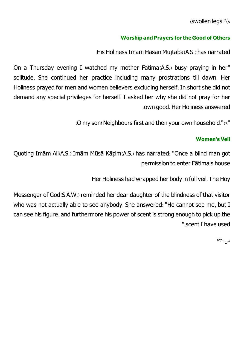(swollen legs."(8

### **Worship and Prayers fortheGood of Others**

: His Holiness Imām Hasan Mujtabā(A.S.) has narrated

On a Thursday evening I watched my mother Fatima(A.S.) busy praying in her" solitude. She continued her practice including many prostrations till dawn. Her Holiness prayed for men and women believers excluding herself. In short she did not demand any special privileges for herself. I asked her why she did not pray for her :own good, Her Holiness answered

(O my son! Neighbours first and then your own household."(9"

### **Women's Veil**

Quoting Imām Ali(A.S.) Imām Mūsā Kāzịm(A.S.) has narrated: "Once a blind man got .permission to enter Fātima's house

Her Holiness had wrapped her body in full veil. The Hoy

Messenger of God(S.A.W.) reminded her dear daughter of the blindness of that visitor who was not actually able to see anybody. She answered: "He cannot see me, but I can see his figure, and furthermore his power of scent is strong enough to pick up the ".scent I have used

 $PP: \varphi$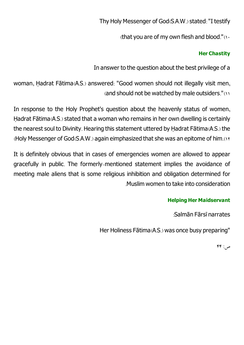Thy Holy Messenger of God(S.A.W.) stated: "I testify

(that you are of my own flesh and blood." $(1)$ 

### **Her Chastity**

In answer to the question about the best privilege of a

woman, Ḥadrat Fātima(A.S.) answered: "Good women should not illegally visit men, (and should not be watched by male outsiders."(11

In response to the Holy Prophet's question about the heavenly status of women, Hadrat Fātima(A.S.) stated that a woman who remains in her own dwelling is certainly the nearest soul to Divinity. Hearing this statement uttered by Ḥadrat Fātima(A.S.) the  $($ Holy Messenger of God $($ S.A.W. $)$  again eimphasized that she was an epitome of him. $(11)$ 

It is definitely obvious that in cases of emergencies women are allowed to appear gracefully in public. The formerly-mentioned statement implies the avoidance of meeting male aliens that is some religious inhibition and obligation determined for .Muslimwomen to take into consideration

### **Helping Her Maidservant**

:Salmān Fārsī narrates

Her Holiness Fātima(A.S.) was once busy preparing"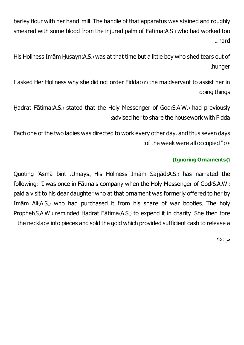barley flour with her hand-mill. The handle of that apparatus was stained and roughly smeared with some blood from the injured palm of Fātima(A.S.) who had worked too ...hard

His Holiness Imām Ḥusayn(A.S.) was at that time but a little boy who shed tears out of .hunger

I asked Her Holiness why she did not order Fidda(13) the maidservant to assist her in .doing things

Ḥadrat Fātima(A.S.) stated that the Holy Messenger of God(S.A.W.) had previously :advised her to share the housework with Fidda

Each one of the two ladies was directed to work every other day, and thus seven days (of the week were all occupied."(14

# **(Ignoring Ornaments(1**

Quoting 'Asmā bint ،Umays, His Holiness Imām Sajjād(A.S.) has narrated the following: "I was once in Fātma's company when the Holy Messenger of God(S.A.W.) paid a visit to his dear daughter who at that ornament was formerly offered to her by Imām Ali(A.S.) who had purchased it from his share of war booties. The holy Prophet(S.A.W.) reminded Hadrat Fātima(A.S.) to expend it in charity. She then tore the necklace into pieces and sold the gold which provided sufficient cash to release a

 $FO: \varphi$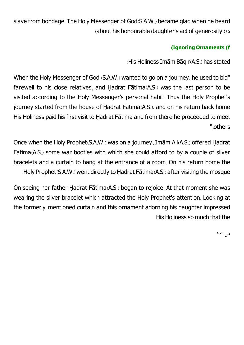slave from bondage. The Holy Messenger of God(S.A.W.) became glad when he heard (about his honourable daughter's act of generosity.(15

# **(Ignoring Ornaments (2**

: His Holiness Imām Bāgir(A.S.) has stated

When the Holy Messenger of God (S.A.W.) wanted to go on a journey, he used to bid" farewell to his close relatives, and Ḥadrat Fātima(A.S.) was the last person to be visited according to the Holy Messenger's personal habit. Thus the Holy Prophet's journey started from the house of Ḥadrat Fātima(A.S.), and on his return back home His Holiness paid his first visit to Ḥadrat Fātima and from there he proceeded to meet ".others

Once when the Holy Prophet(S.A.W.) was on a journey, Imām Ali(A.S.) offered Ḥadrat Fatima(A.S.) some war booties with which she could afford to by a couple of silver bracelets and a curtain to hang at the entrance of a room. On his return home the .Holy Prophet(S.A.W.) went directly to Ḥadrat Fātima(A.S.) after visiting the mosque

On seeing her father Ḥadrat Fātima(A.S.) began to rejoice. At that moment she was wearing the silver bracelet which attracted the Holy Prophet's attention. Looking at the formerly-mentioned curtain and this ornament adorning his daughter impressed His Holiness so much that the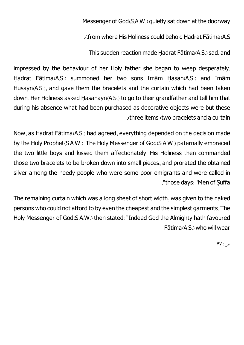Messenger of God(S.A.W.) quietly sat down at the doorway

.(.fromwhere His Holinesscould behold Ḥadrat Fātima(A.S

This sudden reaction made Hadrat Fātima(A.S.) sad, and

impressed by the behaviour of her Holy father she began to weep desperately. Ḥadrat Fātima(A.S.) summoned her two sons Imām Ḥasan(A.S.) and Imām Husayn(A.S.), and gave them the bracelets and the curtain which had been taken down. Her Holiness asked Ḥasanayn(A.S.) to go to their grandfather and tell him that during his absence what had been purchased as decorative objects were but these .(three items (two bracelets and a curtain

Now, as Ḥadrat Fātima(A.S.) had agreed, everything depended on the decision made by the Holy Prophet(S.A.W.). The Holy Messenger of God(S.A.W.) paternally embraced the two little boys and kissed them affectionately. His Holiness then commanded those two bracelets to be broken down into small pieces, and prorated the obtained silver among the needy people who were some poor emigrants and were called in ."those days: "Men of Suffa

The remaining curtain which was a long sheet of short width, was given to the naked persons who could not afford to by even the cheapest and the simplest garments. The Holy Messenger of God(S.A.W.) then stated: "Indeed God the Almighty hath favoured Fātima(A.S.) who will wear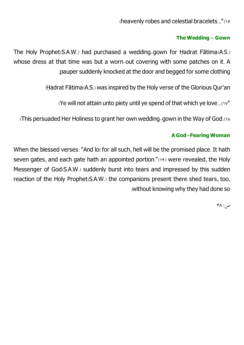(heavenly robes and celestial bracelets..."(16

## **The Wedding - Gown**

The Holy Prophet(S.A.W.) had purchased a wedding-gown for Ḥadrat Fātima(A.S.) whose dress at that time was but a worn-out covering with some patches on it. A .pauper suddenly knocked at the door and begged for some clothing

:Ḥadrat Fātima(A.S.) was inspired by the Holy verse of the Glorious Qur'an

(Ye will not attain unto piety until ye spend of that which ye love...(17"

(This persuaded Her Holiness to grant her own wedding-gown in the Way of God.(18

### **<sup>A</sup> God-Fearing Woman**

When the blessed verses: "And lo! for all such, hell will be the promised place. It hath seven gates, and each gate hath an appointed portion."(19) were revealed, the Holy Messenger of God(S.A.W.) suddenly burst into tears and impressed by this sudden reaction of the Holy Prophet(S.A.W.) the companions present there shed tears, too, .without knowing why they had done so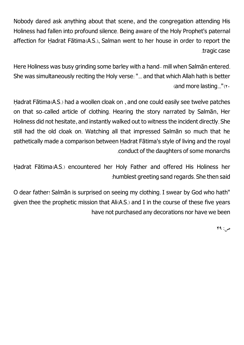Nobody dared ask anything about that scene, and the congregation attending His Holiness had fallen into profound silence. Being aware of the Holy Prophet's paternal affection for Ḥadrat Fātima(A.S.), Salman went to her house in order to report the .tragic case

Here Holiness was busy grinding some barley with a hand- mill when Salmān entered. She was simultaneously reciting the Holy verse: "... and that which Allah hath is better (and more lasting..." $(Y)$ 

Ḥadrat Fātima(A.S.) had a woollen cloak on , and one could easily see twelve patches on that so-called article of clothing. Hearing the story narrated by Salmān, Her Holiness did not hesitate, and instantly walked out to witness the incident directly. She still had the old cloak on. Watching all that impressed Salmān so much that he pathetically made a comparison between Hadrat Fātima's style of living and the royal .conduct of the daughters of some monarchs

Ḥadrat Fātima(A.S.) encountered her Holy Father and offered His Holiness her :humblest greeting sand regards. She then said

O dear father! Salman is surprised on seeing my clothing. I swear by God who hath" given thee the prophetic mission that Ali(A.S.) and I in the course of these five years have not purchased any decorations nor have we been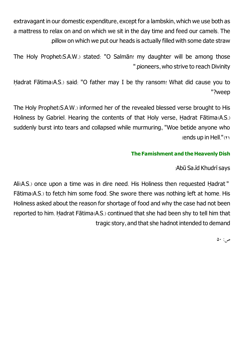extravagant in our domestic expenditure, except for a lambskin, which we use both as a mattress to relax on and on which we sit in the day time and feed our camels. The .pillow on which we put our heads is actually filled with some date straw

The Holy Prophet(S.A.W.) stated: "O Salmān! my daughter will be among those ".pioneers, who strive to reach Divinity

Hadrat Fātima(A.S.) said: "O father may I be thy ransom! What did cause you to "?weep

The Holy Prophet(S.A.W.) informed her of the revealed blessed verse brought to His Holiness by Gabriel. Hearing the contents of that Holy verse, Ḥadrat Fātima(A.S.) suddenly burst into tears and collapsed while murmuring, "Woe betide anyone who  $(ends up in Hell."$ (1)

### **The Famishment and theHeavenly Dish**

:Abū Sa ūd Khudrī says

Ali(A.S.) once upon a time was in dire need. His Holiness then requested Ḥadrat " Fātima(A.S.) to fetch him some food. She swore there was nothing left at home. His Holiness asked about the reason for shortage of food and why the case had not been reported to him. Ḥadrat Fātima(A.S.) continued that she had been shy to tell him that tragic story, and that she hadnot intended to demand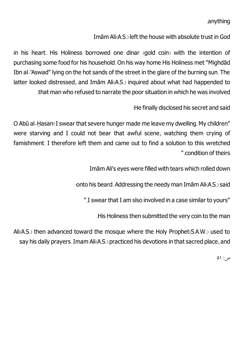## .anything

## ImāmAli(A.S.) left the house with absolute trust in God

in his heart. His Holiness borrowed one dinar (gold coin) with the intention of purchasing some food for his household. On his way home His Holiness met "Mighdād Ibn al-'Aswad" lying on the hot sands of the street in the glare of the burning sun. The latter looked distressed, and Imām Ali(A.S.) inquired about what had happended to .that man who refused to narrate the poor situation in which he was involved

:He finally disclosed his secret and said

O Abū al-Ḥasan! I swear that severe hunger made me leave my dwelling. My children" were starving and I could not bear that awful scene, watching them crying of famishment. I therefore left them and came out to find a solution to this wretched ".condition of theirs

ImāmAli's eyes were filled with tears which rolled down

: onto his beard. Addressing the needy man Imām Ali(A.S.) said

".Iswear that I amslso involved in a case similar to yours"

.His Holiness then submitted the very coin to the man

Ali(A.S.) then advanced toward the mosque where the Holy Prophet(S.A.W.) used to say his daily prayers. Imam Ali(A.S.) practiced his devotions in that sacred place, and

 $\Delta$  :  $\sim$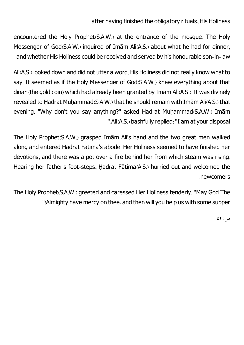## after having finished the obligatory rituals, His Holiness

encountered the Holy Prophet(S.A.W.) at the entrance of the mosque. The Holy Messenger of God(S.A.W.) inquired of Imām Ali(A.S.) about what he had for dinner, .and whether His Holinesscould be received and served by his honourable son-in-law

Ali(A.S.) looked down and did not utter a word. His Holiness did not really know what to say. It seemed as if the Holy Messenger of God(S.A.W.) knew everything about that dinar (the gold coin) which had already been granted by Imām Ali(A.S.). It was divinely revealed to Hadrat Muhammad(S.A.W.) that he should remain with Imām Ali(A.S.) that evening. "Why don't you say anything?" asked Hadrat Muhammad(S.A.W.) Imām ".Ali(A.S.) bashfully replied: "I am at your disposal

The Holy Prophet(S.A.W.) grasped Imām Ali's hand and the two great men walked along and entered Hadrat Fatima's abode. Her Holiness seemed to have finished her devotions, and there was a pot over a fire behind her from which steam was rising. Hearing her father's foot-steps, Ḥadrat Fātima(A.S.) hurried out and welcomed the .newcomers

The Holy Prophet(S.A.W.) greeted and caressed Her Holiness tenderly. "May God The "!Almighty have mercy on thee, and then will you help us with some supper

 $\Delta Y$ :  $\sim$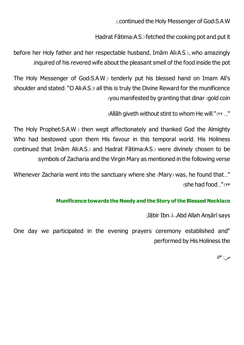.(.continued the Holy Messenger of God(S.A.W

Ḥadrat Fātima(A.S.) fetched the cooking pot and put it

before her Holy father and her respectable husband, Imām Ali(A.S.), who amazingly .inquired of his revered wife about the pleasantsmell of the food inside the pot

The Holy Messenger of God(S.A.W.) tenderly put his blessed hand on Imam Ali's shoulder and stated: "O Ali(A.S.)! all this is truly the Divine Reward for the munificence .(youmanifested by granting that dinar (gold coin

(Allāh giveth without stint to whom He will." $(32.1)$ "

The Holy Prophet(S.A.W.) then wept affectionately and thanked God the Almighty Who had bestowed upon them His favour in this temporal world. His Holiness continued that Imām Ali(A.S.) and Ḥadrat Fātima(A.S.) were divinely chosen to be :symbols of Zacharia and the Virgin Mary as mentioned in the following verse

Whenever Zacharia went into the sanctuary where she (Mary) was, he found that..."  $($ she had food $)$ ." $($ 

### **Munificence towards theNeedy and the Story ofthe Blessed Necklace**

:Jābir Ibn-i-.Abd Allah Ansārī says

One day we participated in the evening prayers ceremony established and" performed by His Holiness the

 $\Delta \mathbf{r}$  :  $\varphi$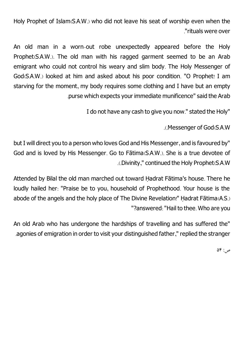Holy Prophet of Islam(S.A.W.) who did not leave his seat of worship even when the ."rituals were over

An old man in a worn-out robe unexpectedly appeared before the Holy Prophet(S.A.W.). The old man with his ragged garment seemed to be an Arab emigrant who could not control his weary and slim body. The Holy Messenger of God(S.A.W.) looked at him and asked about his poor condition. "O Prophet! I am starving for the moment, my body requires some clothing and I have but an empty .purse which expects your immediate munificence" said the Arab

I do not have any cash to give you now." stated the Holy"

.(.Messenger of God(S.A.W

but I will direct you to a person who loves God and His Messenger, and is favoured by" God and is loved by His Messenger. Go to Fātima(S.A.W.). She is a true devotee of .(.Divinity,"continued the Holy Prophet(S.A.W

Attended by Bilal the old man marched out toward Ḥadrat Fātima's house. There he loudly hailed her: "Praise be to you, household of Prophethood. Your house is the abode of the angels and the holy place of The Divine Revelation!" Hadrat Fātima(A.S.) "?answered: "Hail to thee. Who are you

An old Arab who has undergone the hardships of travelling and has suffered the" .agonies of emigration in order to visit your distinguished father," replied the stranger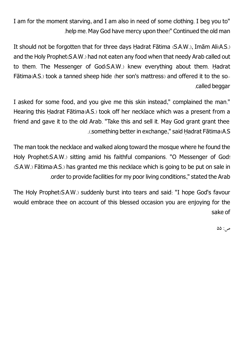I am for the moment starving, and I am also in need of some clothing. I beg you to" .helpme. May God have mercy upon thee!" Continued the oldman

It should not be forgotten that for three days Ḥadrat Fātima (S.A.W.), Imām Ali(A.S.) and the Holy Prophet(S.A.W.) had not eaten any food when that needy Arab called out to them. The Messenger of God(S.A.W.) knew everything about them. Hadrat Fātima(A.S.) took a tanned sheep hide (her son's mattress) and offered it to the so- .called beggar

I asked for some food, and you give me this skin instead," complained the man." Hearing this Hadrat Fātima(A.S.) took off her necklace which was a present from a friend and gave it to the old Arab. "Take this and sell it. May God grant grant thee .(.something better in exchange," said Ḥadrat Fātima(A.S

The man took the necklace and walked along toward the mosque where he found the Holy Prophet(S.A.W.) sitting amid his faithful companions. "O Messenger of God! (S.A.W.) Fātima(A.S.) has granted me this necklace which is going to be put on sale in .order to provide facilities for my poor living conditions," stated the Arab

The Holy Prophet(S.A.W.) suddenly burst into tears and said: "I hope God's favour would embrace thee on account of this blessed occasion you are enjoying for the sake of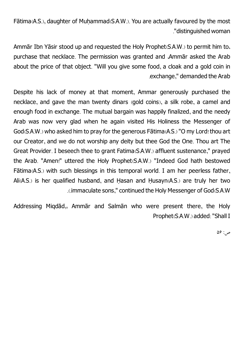Fātima(A.S.), daughter of Muhammad(S.A.W.). You are actually favoured by the most ."distinguished woman

Ammār Ibn Yāsir stood up and requested the Holy Prophet(S.A.W.) to permit him to، purchase that necklace. The permission was granted and ،Ammār asked the Arab about the price of that object. "Will you give some food, a cloak and a gold coin in .exchange," demanded the Arab

Despite his lack of money at that moment, Ammar generously purchased the necklace, and gave the man twenty dinars (gold coins), a silk robe, a camel and enough food in exchange. The mutual bargain was happily finalized, and the needy Arab was now very glad when he again visited His Holiness the Messenger of God(S.A.W.) who asked him to pray for the generous Fātima(A.S.) "O my Lord! thou art our Creator, and we do not worship any deity but thee God the One. Thou art The Great Provider. I beseech thee to grant Fatima(S.A.W.) affluent sustenance," prayed the Arab. "Amen!" uttered the Holy Prophet(S.A.W.) "Indeed God hath bestowed Fātima(A.S.) with such blessings in this temporal world. I am her peerless father, Ali(A.S.) is her qualified husband, and Ḥasan and Ḥusayn(A.S.) are truly her two .(.immaculate sons,"continued the Holy Messenger of God(S.A.W

Addressing Miqdād,، Ammār and Salmān who were present there, the Holy Prophet(S.A.W.) added: "Shall I

 $\Delta$ 9: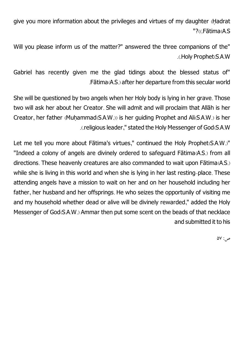give you more information about the privileges and virtues of my daughter (Ḥadrat "?((.Fātima(A.S

Will you please inform us of the matter?" answered the three companions of the" .(.Holy Prophet(S.A.W

Gabriel has recently given me the glad tidings about the blessed status of" .Fātima(A.S.) after her departure fromthis secular world

She will be questioned by two angels when her Holy body is lying in her grave. Those two will ask her about her Creator. She will admit and will proclaim that Allāh is her Creator, her father (Muhammad(S.A.W.)) is her guiding Prophet and Ali(S.A.W.) is her .(.religious leader," stated the Holy Messenger of God(S.A.W

Let me tell you more about Fātima's virtues," continued the Holy Prophet(S.A.W.)" "Indeed a colony of angels are divinely ordered to safeguard Fātima(A.S.) from all directions. These heavenly creatures are also commanded to wait upon Fātima(A.S.) while she is living in this world and when she is lying in her last resting-place. These attending angels have a mission to wait on her and on her household including her father, her husband and her offsprings. He who seizes the opportunily of visiting me and my household whether dead or alive will be divinely rewarded," added the Holy Messenger of God(S.A.W.) Ammar then put some scent on the beads of that necklace and submitted it to his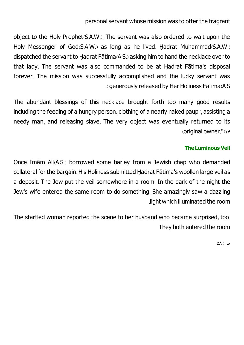### personal servant whose mission was to offer the fragrant

object to the Holy Prophet(S.A.W.). The servant was also ordered to wait upon the Holy Messenger of God(S.A.W.) as long as he lived. Hadrat Muhammad(S.A.W.) dispatched the servant to Ḥadrat Fātima(A.S.) asking him to hand the necklace over to that lady. The servant was also commanded to be at Ḥadrat Fātima's disposal forever. The mission was successfully accomplished and the lucky servant was .(.generously released by Her Holiness Fātima(A.S

The abundant blessings of this necklace brought forth too many good results including the feeding of a hungry person, clothing of a nearly naked paupr, assisting a needy man, and releasing slave. The very object was eventually returned to its (original owner."(24

#### **The Luminous Veil**

Once Imām Ali(A.S.) borrowed some barley from a Jewish chap who demanded collateral for the bargain. His Holiness submitted Ḥadrat Fātima's woollen large veil as a deposit. The Jew put the veil somewhere in a room. In the dark of the night the Jew's wife entered the same room to do something. She amazingly saw a dazzling .light which illuminated the room

The startled woman reported the scene to her husband who became surprised, too. They both entered the room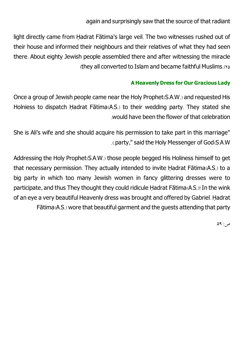again and surprisingly saw that the source of that radiant

light directly came from Ḥadrat Fātima's large veil. The two witnesses rushed out of their house and informed their neighbours and their relatives of what they had seen there. About eighty Jewish people assembled there and after witnessing the miracle (they all converted to Islam and became faithful Muslims.(16)

## **AHeavenly Dress for Our Gracious Lady**

Once a group of Jewish people came near the Holy Prophet(S.A.W.) and requested His Holniess to dispatch Hadrat Fātima(A.S.) to their wedding party. They stated she would have been the flower of that celebration

She is Ali's wife and she should acquire his permission to take part in this marriage" .(.party," said the Holy Messenger of God(S.A.W

Addressing the Holy Prophet(S.A.W.) those people begged His Holiness himself to get that necessary permission. They actually intended to invite Ḥadrat Fātima(A.S.) to a big party in which too many Jewish women in fancy glittering dresses were to participate, and thus They thought they could ridicule Ḥadrat Fātima(A.S.)! In the wink of an eye a very beautiful Heavenly dress was brought and offered by Gabriel. Ḥadrat Fātima(A.S.) wore that beautiful garment and the guests attending that party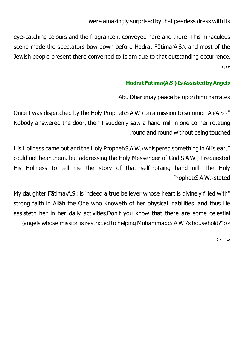were amazingly surprised by that peerless dress with its

eye-catching colours and the fragrance it conveyed here and there. This miraculous scene made the spectators bow down before Hadrat Fātima(A.S.), and most of the Jewish people present there converted to Islam due to that outstanding occurrence.  $(19)$ 

## **Ḥ adrat Fātima(A.S.)Is Assisted by Angels**

:Abū Dhar (may peace be upon him) narrates

Once I was dispatched by the Holy Prophet(S.A.W.) on a mission to summon Ali(A.S.)." Nobody answered the door, then I suddenly saw a hand-mill in one corner rotating .round and round without being touched

His Holiness came out and the Holy Prophet(S.A.W.) whispered something in Ali's ear. I could not hear them, but addressing the Holy Messenger of God(S.A.W.) I requested His Holiness to tell me the story of that self-rotaing hand-mill. The Holy :Prophet(S.A.W.)stated

My daughter Fātima(A.S.) is indeed a true believer whose heart is divinely filled with" strong faith in Allāh the One who Knoweth of her physical inabilities, and thus He assisteth her in her daily activities.Don't you know that there are some celestial (angels whose mission is restricted to helping Muhammad( $S.A.W.$ )'s household?"( $\gamma$ 

 $9.$ : م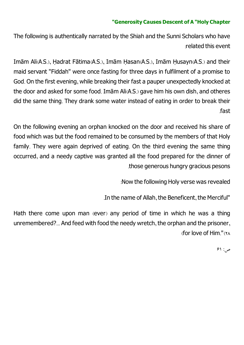#### **"Generosity Causes Descent of A "Holy Chapter**

The following is authentically narrated by the Shiah and the Sunni Scholars who have :related this event

Imām Ali(A.S.), Ḥadrat Fātima(A.S.), Imām Ḥasan(A.S.), Imām Ḥusayn(A.S.) and their maid servant "Fiddah" were once fasting for three days in fulfilment of a promise to God. On the first evening, while breaking their fast a pauper unexpectedly knocked at the door and asked for some food. Imām Ali(A.S.) gave him his own dish, and otheres did the same thing. They drank some water instead of eating in order to break their .fast

On the following evening an orphan knocked on the door and received his share of food which was but the food remained to be consumed by the members of that Holy family. They were again deprived of eating. On the third evening the same thing occurred, and a needy captive was granted all the food prepared for the dinner of .those generous hungry gracious pesons

:Now the following Holy verse was revealed

.In the name of Allah, the Beneficent, the Merciful"

Hath there come upon man (ever) any period of time in which he was a thing unremembered?... And feed with food the needy wretch, the orphan and the prisoner, (for love of Him."(28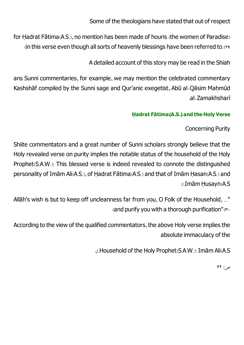Some of the theologians have stated that out of respect

for Ḥadrat Fātima(A.S.), no mention has been made of houris (the women of Paradise) (in this verse even though all sorts of heavenly blessings have been referred to.(19

A detailed account of this story may be read in the Shiah

ans Sunni commentaries, for example, we may mention the celebrated commentary Kashshāf compiled by the Sunni sage and Qur'anic exegetist, Abū al-Qāsim Maḥmūd .al-Zamakhsharī

## **Ḥ adrat Fātima(A.S.) and theHoly Verse**

Concerning Purity

Shiite commentators and a great number of Sunni scholars strongly believe that the Holy revealed verse on purity implies the notable status of the household of the Holy Prophet(S.A.W.): This blessed verse is indeed revealed to connote the distinguished personality of Imām Ali(A.S.), of Ḥadrat Fātima(A.S.) and that of Imām Ḥasan(A.S.) and :(.Imām Husayn(A.S

Allāh's wish is but to keep off uncleanness far from you, O Folk of the Household, ..." (and purify you with a thorough purification" $(r<sub>0</sub>))$ 

According to the view of the qualified commentators, the above Holy verse implies the absolute immaculacy of the

,(.Household of the Holy Prophet(S.A.W.): ImāmAli(A.S

 $54:76$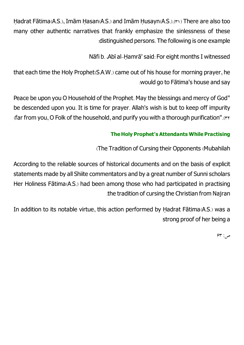Ḥadrat Fātima(A.S.), Imām Ḥasan(A.S.) and Imām Ḥusayn(A.S.).(31) There are also too many other authentic narratives that frankly emphasize the sinlessness of these :distinguished persons. The following is one example

Nāfi b. ،Abī al-Ḥamrā'said: For eight months I witnessed

that each time the Holy Prophet(S.A.W.) came out of his house for morning prayer, he :would go to Fātima's house and say

Peace be upon you O Household of the Prophet. May the blessings and mercy of God" be descended upon you. It is time for prayer. Allah's wish is but to keep off impurity (far from you, O Folk of the household, and purify you with a thorough purification".(\*\*

# **TheHoly Prophet's Attendants While Practising**

(The Tradition of Cursing their Opponents (Mubahilah

According to the reliable sources of historical documents and on the basis of explicit statements made by all Shiite commentators and by a great number of Sunni scholars Her Holiness Fātima(A.S.) had been among those who had participated in practising .the tradition of cursing the Christian from Najran

In addition to its notable virtue, this action performed by Ḥadrat Fātima(A.S.) was a strong proof of her being a

 $59^\circ$ ص: ۶۳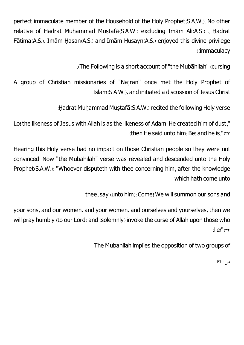perfect immaculate member of the Household of the Holy Prophet(S.A.W.). No other relative of Hadrat Muhammad Mustafā(S.A.W.) excluding Imām Ali(A.S.), Ḥadrat Fātima(A.S.), Imām Ḥasan(A.S.) and Imām Ḥusayn(A.S.) enjoyed this divine privilege .((immaculacy

.(The Following is a short account of "the Mubāhilah" (cursing

A group of Christian missionaries of "Najran" once met the Holy Prophet of .Islam(S.A.W.), and initiated a discussion of Jesus Christ

: Hadrat Muhammad Mustafā(S.A.W.) recited the following Holy verse

Lo! the likeness of Jesus with Allah is as the likeness of Adam. He created him of dust," (then He said unto him: Be! and he is."( $rr$ 

Hearing this Holy verse had no impact on those Christian people so they were not convinced. Now "the Mubahilah" verse was revealed and descended unto the Holy Prophet(S.A.W.): "Whoever disputeth with thee concerning him, after the knowledge which hath come unto

thee, say (unto him): Come! We will summon our sons and

your sons, and our women, and your women, and ourselves and yourselves, then we will pray humbly (to our Lord) and (solemnly) invoke the curse of Allah upon those who  $(lie!"$ (\*\*

The Mubahilah implies the opposition of two groups of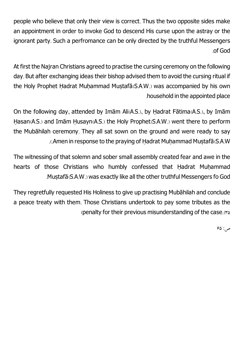people who believe that only their view is correct. Thus the two opposite sides make an appointment in order to invoke God to descend His curse upon the astray or the ignorant party. Such a perfromance can be only directed by the truthful Messengers .of God

At first the Najran Christians agreed to practise the cursing ceremony on the following day. But after exchanging ideas their bishop advised them to avoid the cursing ritual if the Holy Prophet Hadrat Muhammad Mustafā(S.A.W.) was accompanied by his own .household in the appointed place

On the following day, attended by Imām Ali(A.S.), by Ḥadrat Fātima(A.S.), by Imām Ḥasan(A.S.) and Imām Ḥusayn(A.S.) the Holy Prophet(S.A.W.) went there to perform the Mubāhilah ceremony. They all sat sown on the ground and were ready to say ... Amen in response to the praying of Hadrat Muhammad Mustafā (S.A.W

The witnessing of that solemn and sober small assembly created fear and awe in the hearts of those Christians who humbly confessed that Hadrat Muhammad .Mustafā(S.A.W.) was exactly like all the other truthful Messengers fo God

They regretfully requested His Holiness to give up practising Mubāhilah and conclude a peace treaty with them. Those Christians undertook to pay some tributes as the (penalty for their previous misunderstanding of the case. $(35, 55)$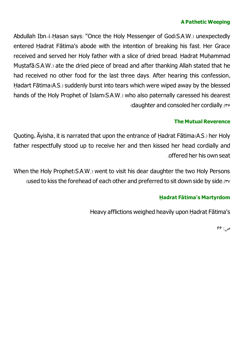#### **A Pathetic Weeping**

Abdullah Ibn-i-Ḥasan says: "Once the Holy Messenger of God(S.A.W.) unexpectedly entered Ḥadrat Fātima's abode with the intention of breaking his fast. Her Grace received and served her Holy father with a slice of dried bread. Hadrat Muhammad Musṭafā(S.A.W.) ate the dried piece of bread and after thanking Allah stated that he had received no other food for the last three days. After hearing this confession, Ḥadart Fātima(A.S.) suddenly burst into tears which were wiped away by the blessed hands of the Holy Prophet of Islam(S.A.W.) who also paternally caressed his dearest (daughter and consoled her cordially.  $(r \epsilon)$ 

### **The Mutual Reverence**

Quoting، Āyisha, it is narrated that upon the entrance of Ḥadrat Fātima(A.S.) her Holy father respectfully stood up to receive her and then kissed her head cordially and .offered her his own seat

When the Holy Prophet(S.A.W.) went to visit his dear daughter the two Holy Persons (used to kiss the forehead of each other and preferred to sit down side by side.( $rv$ 

## **Ḥ adrat Fātima's Martyrdom**

Heavy afflictions weighed heavily upon Ḥadrat Fātima's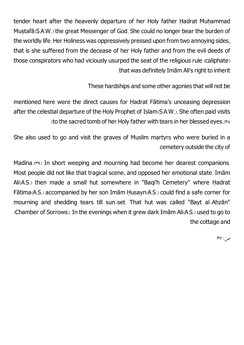tender heart after the heavenly departure of her Holy father Hadrat Muhammad Musṭafā(S.A.W.) the great Messenger of God. She could no longer bear the burden of the worldly life. Her Holiness was oppressively pressed upon fromtwo annoying sides, that is she suffered from the decease of her Holy father and from the evil deeds of those conspirators who had viciously usurped the seat of the religious rule (caliphate) .that was definitely ImāmAli's right to inherit

These hardships and some other agonies that will not be

mentioned here were the direct causes for Ḥadrat Fātima's unceasing depression after the celestial departure of the Holy Prophet of Islam(S.A.W.). She often paid visits (to the sacred tomb of her Holy father with tears in her blessed eyes. (\*^

She also used to go and visit the graves of Muslim martyrs who were buried in a cemetery outside the city of

Madina.( $A$ ) In short weeping and mourning had become her dearest companions. Most people did not like that tragical scene, and opposed her emotional state. Imām Ali(A.S.) then made a small hut somewhere in "Baqi'h Cemetery" where Ḥadrat Fātima(A.S.) accompanied by her son Imām Ḥusayn(A.S.) could find a safe corner for mourning and shedding tears till sun-set. That hut was called "Bayt al-Ahzān" (Chamber of Sorrows). In the evenings when it grew dark Imām Ali(A.S.) used to go to the cottage and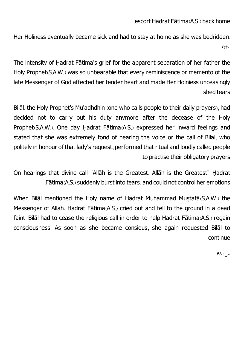.escort Ḥadrat Fātima(A.S.) back home

Her Holiness eventually became sick and had to stay at home as she was bedridden.  $((f,$ 

The intensity of Ḥadrat Fātima's grief for the apparent separation of her father the Holy Prophet(S.A.W.) was so unbearable that every reminiscence or memento of the late Messenger of God affected her tender heart and made Her Holniess unceasingly .shed tears

Bilāl, the Holy Prophet's Mu'adhdhin (one who calls people to their daily prayers), had decided not to carry out his duty anymore after the decease of the Holy Prophet(S.A.W.). One day Ḥadrat Fātima(A.S.) expressed her inward feelings and stated that she was extremely fond of hearing the voice or the call of Bilal, who politely in honour of that lady's request, performed that ritual and loudly called people .to practise their obligatory prayers

On hearings that divine call "Allāh is the Greatest, Allāh is the Greatest" Ḥadrat .Fātima(A.S.)suddenly burst into tears, and could notcontrol her emotions

When Bilāl mentioned the Holy name of Hadrat Muhammad Mustafā(S.A.W.) the Messenger of Allah, Ḥadrat Fātima(A.S.) cried out and fell to the ground in a dead faint. Bilāl had to cease the religious call in order to help Ḥadrat Fātima(A.S.) regain consciousness. As soon as she became consious, she again requested Bilāl to continue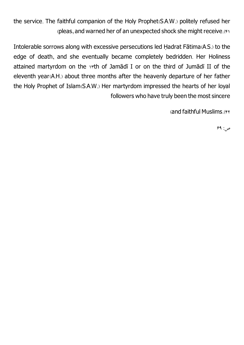the service. The faithful companion of the Holy Prophet(S.A.W.) politely refused her (pleas, and warned her of an unexpected shock she might receive.(41

Intolerable sorrows along with excessive persecutions led Ḥadrat Fātima(A.S.) to the edge of death, and she eventually became completely bedridden. Her Holiness attained martyrdom on the 1sth of Jamādī I or on the third of Jumādī II of the eleventh year(A.H.) about three months after the heavenly departure of her father the Holy Prophet of Islam(S.A.W.) Her martyrdom impressed the hearts of her loyal followers who have truly been the most sincere

(and faithful Muslims.(۴۲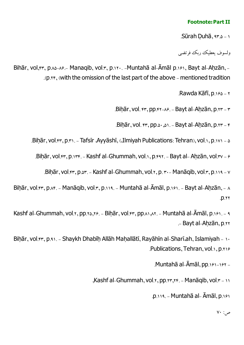### **Footnote: PartII**

.Sūrah Ḍuhā, 93.5 - 1

ولسوف یعطیک ریک فرتضی

Bihār, vol,fr, p.A8-A8.- Manaqib, vol.r, p.11. - Muntahā al-Āmāl p.181, Bayt al-Ahzān, -.(p.24, (with the omission of the last part of the above -mentioned tradition

Rawda Kāfī, p. 190 - 7

 $Bihār, vol.$   $rr, pp.rr-\lambda r. - Bayt$  al-Ahzān, p. $rr-r$ 

.Bihār, vol.  $rr, pp.0, \ldots$ 1. - Bayt al-Ahzān, p. $rr - r$ 

.Bihār, vol.fr, p.r). - Tafsīr Ayyāshī, (،Ilmiyah Publications: Tehran), vol.1, p.171 - 5

.Bihār, vol. $f, p_{1}, p_{2}, \ldots$  Kashf al-Ghummah, vol.1, p. $f, p_{2}, p_{3}$  al-Ahzān, vol. $f, p_{3}$ 

.Bihār, vol.fr, p.sr. - Kashf al-Ghummah, vol.1, p. r. - Manāqib, vol.r, p.119 - v

Biḥār, vol.fr, p.^f. - Manāqib, vol.r, p.119. - Muntahā al-Āmāl, p.181. - Bayt al-Aḥzān, - ^  $.12.77$ 

Kashf al-Ghummah, vol.1, pp.10,18. - Biḥār, vol.41, pp.81, A1. - Muntahā al-Āmāl, p.181. - 9 . Bayt al-Ahzān, p.xx

Bihār, vol. 4, p.91. - Shaykh Dhabīh Allāh Mahallātī, Rayāhīn al-Sharī, ah, Islamiyah - 10 .Publications, Tehran, vol.1, p.216

.Muntahā al-Āmāl, pp.161-162 -

,Kashf al-Ghummah, vol. $x, pp, yr, yr$ . - Manāqib, vol. $r - y$ 

.p.119. - Muntahā al- Āmāl, p.161

 $\mathsf{v}\cdot\mathsf{L}_\mathsf{C}$ ص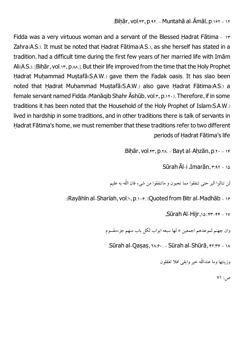Bihār, vol.44, p.41. - Muntahā al-Āmāl, p.161 - 11

Fidda was a very virtuous woman and a servant of the Blessed Hadrat Fātima - 17 Zahra(A.S.). It must be noted that Hadrat Fātima(A.S.), as she herself has stated in a tradition, had a difficult time during the first few years of her married life with Imām Ali(A.S.). [Bihār, vol.1r, p.A.]. But their life improved from the time that the Holy Prophet Hadrat Muhammad Mustafā(S.A.W.) gave them the Fadak oasis. It has slao been noted that Hadrat Muhammad Mustafā(S.A.W.) also gave Hadrat Fātima(A.S.) a female servant named Fidda. (Manāqib Shahr Āshūb, vol. $x, p_1, y_2$ ). Therefore, if in some traditions it has been noted that the Household of the Holy Prophet of Islam(S.A.W.) lived in hardship in some traditions, and in other traditions there is talk of servants in Ḥadrat Fātima's home, we must remember that these traditions refer to two different .periods of Ḥadrat Fātima's life

.Bihār, vol. $44.5$ , p. $44.5$  - Bayt al-Ahzān, p. $4.5$ 

Sūrah Āl-i ،Imarān, r:٩٢ - ١٥

لن تنالوا البر حتی تنفقوا مما تحبون و ماتنفقوا من شیء فان اللّه به علیم

.(Rayāhīn al-Sharīah, vol.1, p.108. (Quoted from Bitr al-Madhāb - 18

,Sūrah Al-Hijr,15: 43-44 - 17

وان جهنم لموعدهم اجمعین \* لها سبعه ابواب لکل باب منهم جزءمقسوم

Sūrah al-Qasas, xx:  $9.56$ . - Sūrah al-Shūrā,  $9.37$ 

وزینتها وما عندالّلهخیر وابقیافلاتعقلون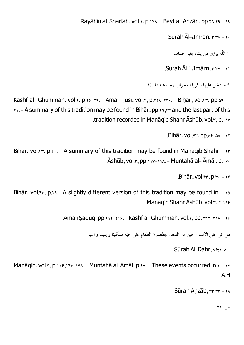.Rayāhīn al-Sharīah, vol.1, p.168. - Bayt al-Ahzān, pp.14,19 - 19

.Sūrah Āl-.Imrān,  $r:rv - r$ 

ان اللّه برزق من بشاء بغیر حساب

.Surah Āl-i ،Imārn,  $r:rv - r$ 

کلما دخل علیها زکر یا المحراب وجد عندها رزقا

Kashf al- Ghummah, vol.x, p.xs-xx. - Amālī Țūsī, vol.x, p.xxx-xx. - Biḥār, vol.xx, pp.64- $f_1$ . - A summary of this tradition may be found in Bihār, pp.x٩,  $f_1$  and the last part of this .tradition recorded in Manāqib Shahr Āshūb, vol.3, p.117

 $Bihār, vol.fr, DD.89-8A - YY$ 

Bihar, vol. $f, p.f., - A$  summary of this tradition may be found in Manaqib Shahr -  $f, g$  $\bar{A}$ shūb, vol. $\bar{B}$ , pp.118-118. - Muntahā al- Āmāl, p.180

 $Bih\bar{a}r$ , vol. $rr$ , p. $r - rr$ 

Bihār, vol. $44$ , p.14.- A slightly different version of this tradition may be found in -  $10$ .Manaqib Shahr Ashub, vol. $r, p.119$ 

.Amālī Sadūq, pp. 212-216. - Kashf al-Ghummah, vol.1, pp.  $x_1x_2-x_3$ 

هل اتی علی الانسان حین من الدهر...یطعمون الطعام علی حبّه مسکینا و یتیما و اسیرا

.Sūrah Al-Dahr,  $v* \rightarrow -$ 

Manāqib, vol. $x, p_1, p_2, p_3, p_4, p_5, p_6, p_7, p_8, p_1, p_2, p_6, p_7, p_7, p_8, p_9, p_1, p_2, p_6, p_7, p_7, p_8, p_9, p_9, p_1, p_1, p_2, p_1, p_2, p_6, p_1, p_2, p_6, p_7, p_8, p_9, p_1, p_2, p_6, p_1, p_2, p_6, p_1, p_2, p_6, p_1, p_2, p_6, p_1, p_2, p_6, p_1, p$ .A.H

Sūrah Ahzāb, rr: rr - 11

 $\mathsf{V}$ ص: <mark>۷۲</mark>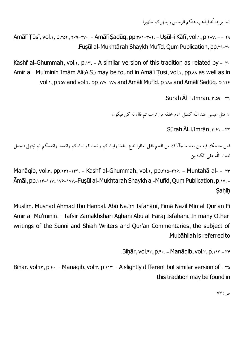انما یریداللّه لیذهب عنکم الرجس ویطهرکم تطهیرا

Amālī Tūsī, vol.1, p.16f, 189-17. - Amālī Sadūq, pp.181-188. - Usūl-i Kāfī, vol.1, p.188. -- 19 .Fusūl al-Mukhtārah Shaykh Mufīd, Oum Publication, pp.x4-r.

Kashf al-Ghummah, vol.x, p.15. - A similar version of this tradition as related by -  $\tau$ . Amīr al- Mu'minīn Imām Alī(A.S.) may be found in Amālī Tusī, vol.1, pp. $\lambda \lambda$  as well as in .vol.1, p.368 and vol.3, pp.199-198 and Amālī Mufīd, p.188 and Amālī Sadūq, p.134

.Sūrah Āl-i  $\Delta$ Imrān,  $\mathbf{r}:\Delta\mathbf{S} \rightarrow \mathbf{S}$ 

ان مثل عیسی عند اللّه کمثل آدم خلقه من تراب ثم قال له کن فیکون

 $Sūrah ĀLi,Imrān, r<sub>:81</sub> - r<sub>Y</sub>$ 

فمن حاجک فیه من بعد ما جآءک من العلم فقل تعالوا ندع ابناءنا وابناءکم و نساءنا ونساءکم وانفسنا وانفسکم ثم نبتهل فنجعل لعنت الّله علیالکاذبین

Manāqib, vol.r, pp.1rr-1ff. - Kashf al-Ghummah, vol.1, pp.410-416. - Muntahā al- - rr Amāl, pp. 118-1117, 178-177.-Fuṣūl al-Mukhtarah Shaykh al-Mufīd, Qum Publication, p. 17. -Sahih

Muslim, Musnad Ahmad Ibn Hanbal, Abū Na.īm Isfahānī, Fīmā Nazil Min al-Qur'an Fi Amīr al-Mu'minīn. - Tafsīr Zamakhsharī Aghānī Abū al-Faraj Isfahānī, In many Other writings of the Sunni and Shiah Writers and Qur'an Commentaries, the subject of .Mubāhilah is referred to

```
Bihār, vol.fr, p.f. - Manāqib, vol.r, p.117 - rr
```
Biḥār, vol.fr, p.f.. - Manāqib, vol.r, p.11r. - A slightly different but similar version of - ra this tradition may be found in

 $VT: \varphi$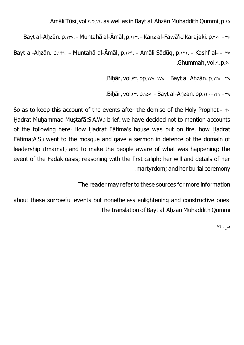.Amālī Tūsī, vol.1, p.14, as well as in Bayt al-Ahzān Muhaddith Qummi, p.16

.Bayt al-Ahzān, p.137. - Muntahā al-Āmāl, p.168. - Kanz al-Fawā'id Karajaki, p.166. - 166

Bayt al-Ahzān, p.151. - Muntahā al-Āmāl, p.185. - Amāli Sādūg, p.151. - Kashf al- - 57 .Ghummah, vol. $x, p.e.$ 

Bihār, vol.44, pp.198-198. - Bayt al-Ahzān, p.148 - 48

.Bihār, vol.44, p.141. - Bayt al-Ahzan, pp.14.-141 - 49

So as to keep this account of the events after the demise of the Holy Prophet -  $\dot{\mathbf{r}}$ . Hadrat Muhammad Mustafā(S.A.W.) brief, we have decided not to mention accounts of the following here: How Ḥadrat Fātima's house was put on fire, how Ḥadrat Fātima(A.S.) went to the mosque and gave a sermon in defence of the domain of leadership (Imāmat) and to make the people aware of what was happening; the event of the Fadak oasis; reasoning with the first caliph; her will and details of her .martyrdom; and her burial ceremony

The reader may refer to these sources for more information

about these sorrowful events but nonetheless enlightening and constructive ones: .The translation of Bayt al-Ahzan Muhaddith Qummi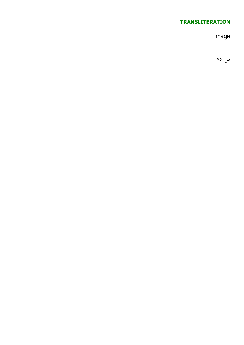## **TRANSLITERATION**

# image

 $\mathbb{R}^n$  .  $\mathbb{R}^n$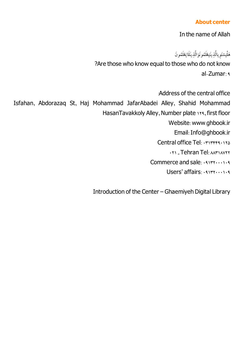#### **About center**

In the name of Allah

هَلْیَسْتَوِ یالَّذِیتَیطْلَمُونَوَالَّذِینَلَایَعْلَمُونَ<br>ماییننگ ۭ<br>ڹ نيَہ<br>: ِ<br>بُ

?Are those who know equal to those who do not know al-Zumar: 9

:Address of the central office Isfahan, Abdorazaq St, Haj Mohammad JafarAbadei Alley, Shahid Mohammad HasanTavakkoly Alley, Number plate 114, first floor Website: www.ghbook.ir Email: Info@ghbook.ir Central office Tel: 0717444013 **021 - Tehran Tel: AATIAYTY** Commerce and sale: 09132000109

Users' affairs: 09177.0014

Introduction of the Center – Ghaemiyeh Digital Library